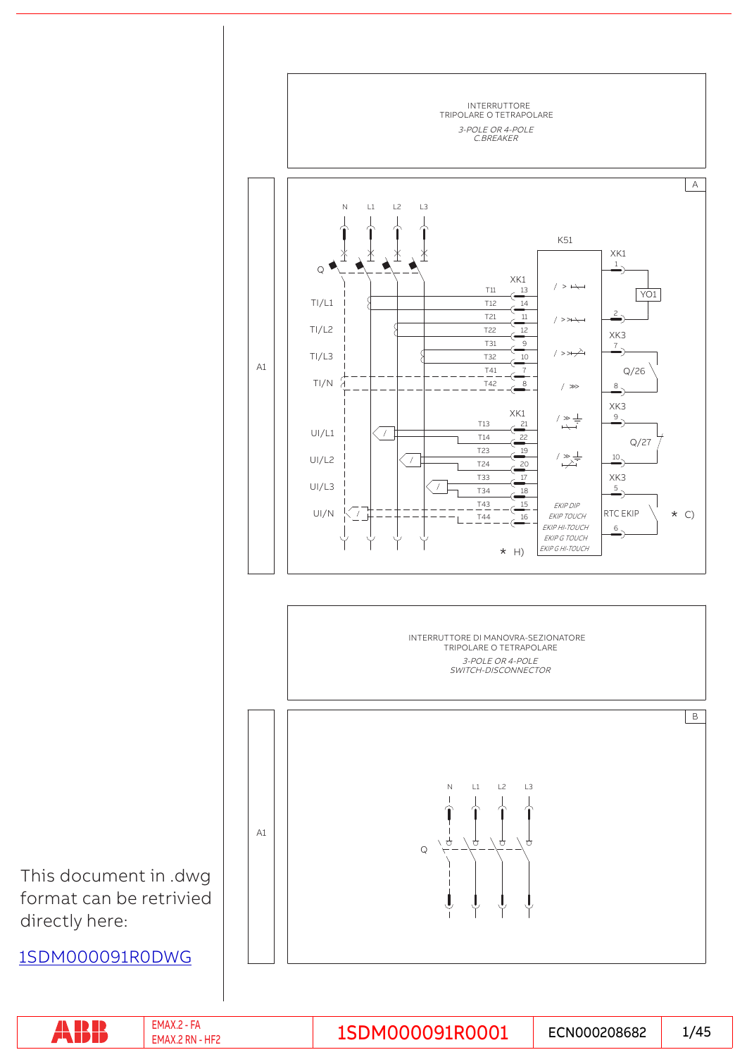

|  | . IVI.<br>um:<br>-IVI <i>I</i><br>ш | ,,,, | ™N00020868 <b>∠</b> | .<br>74⊾<br>ு —<br>- |
|--|-------------------------------------|------|---------------------|----------------------|
|--|-------------------------------------|------|---------------------|----------------------|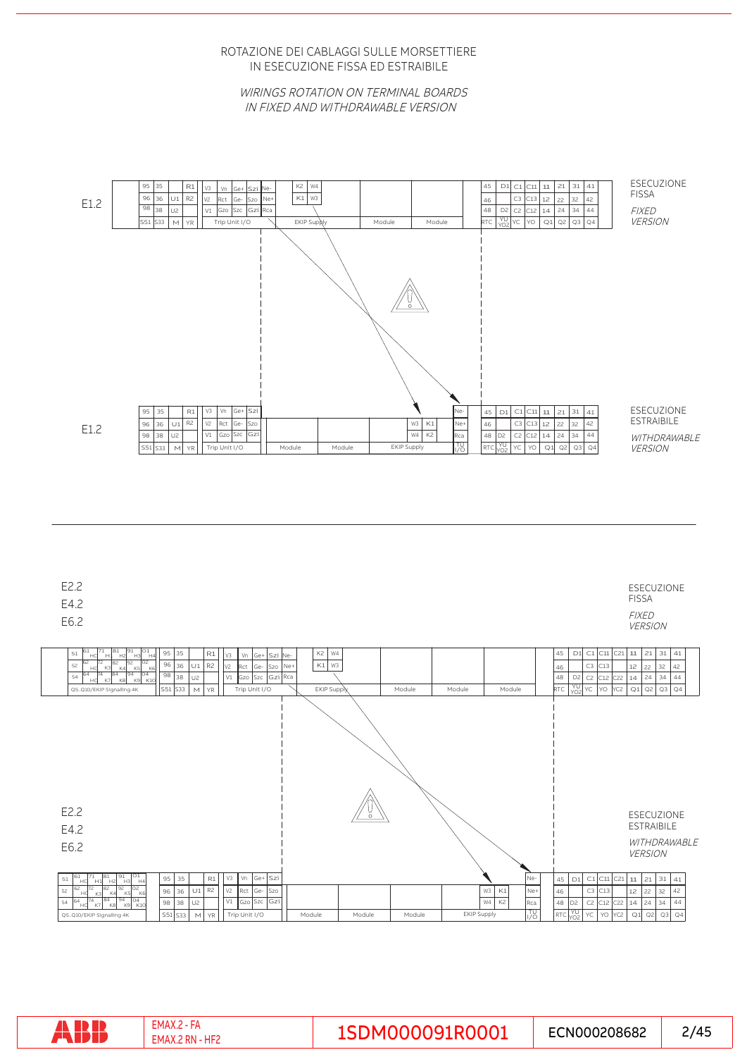IN ESECUZIONE FISSA ED ESTRAIBILE ROTAZIONE DEI CABLAGGI SULLE MORSETTIERE

WIRINGS ROTATION ON TERMINAL BOARDS IN FIXED AND WITHDRAWABLE VERSION



|  | EMAX.i<br>. - HF1<br>' RN<br>EMAX | 1SDM000091R0001 | ECN000208682 | /45<br>– ∕ |
|--|-----------------------------------|-----------------|--------------|------------|
|--|-----------------------------------|-----------------|--------------|------------|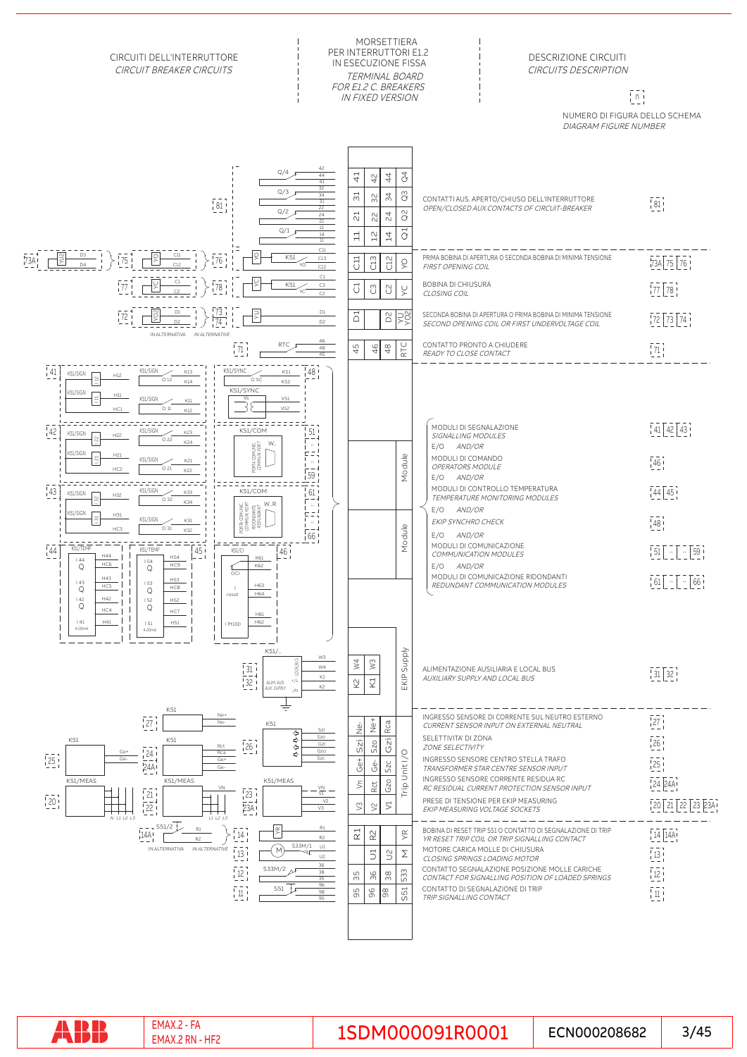

RP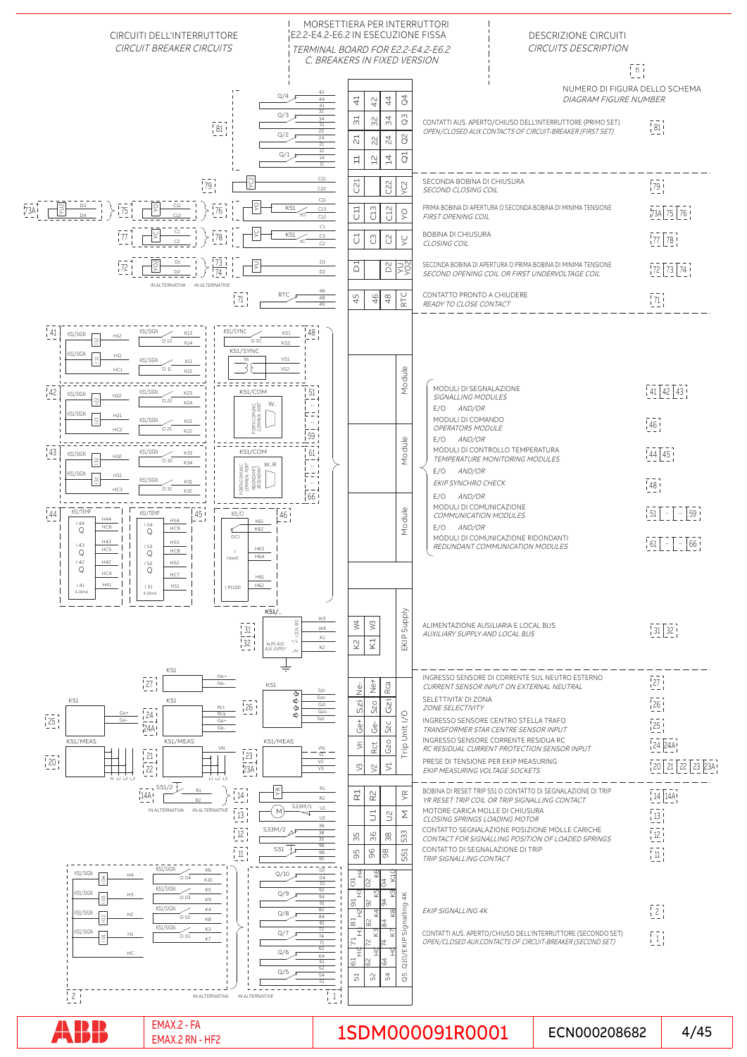

# $1$ SMAX.2 - FA EMAX.2 - FA ECN000208682 4/45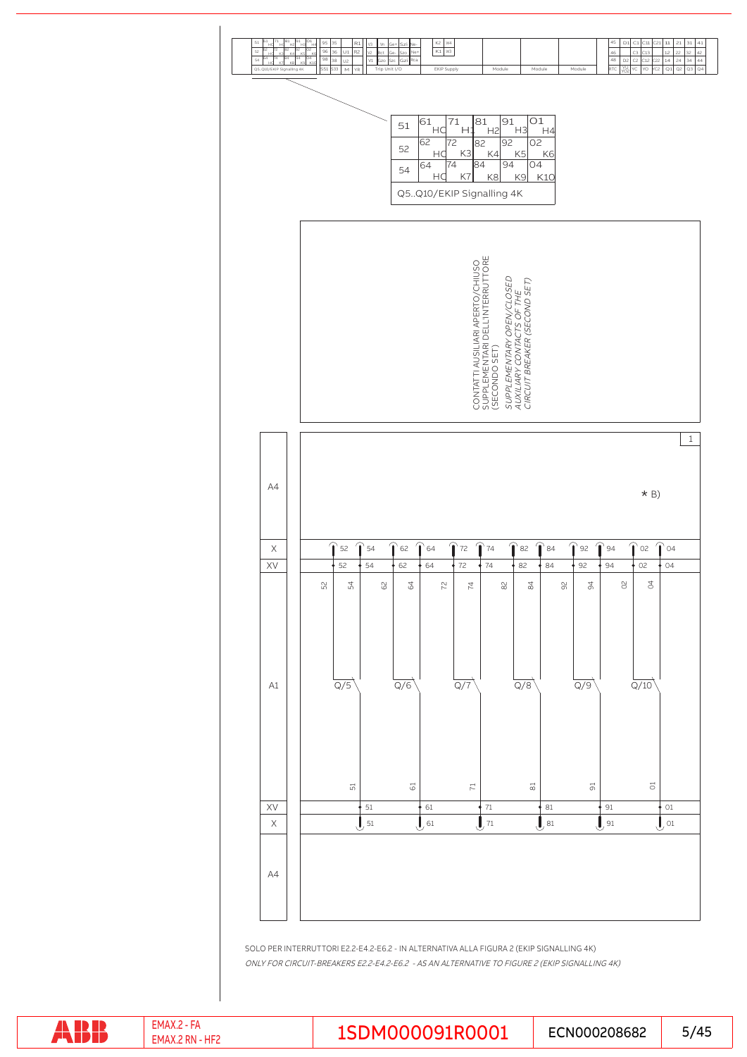

SOLO PER INTERRUTTORI E2.2-E4.2-E6.2 - IN ALTERNATIVA ALLA FIGURA 2 (EKIP SIGNALLING 4K) ONLY FOR CIRCUIT-BREAKERS E2.2-E4.2-E6.2 - AS AN ALTERNATIVE TO FIGURE 2 (EKIP SIGNALLING 4K)

ABB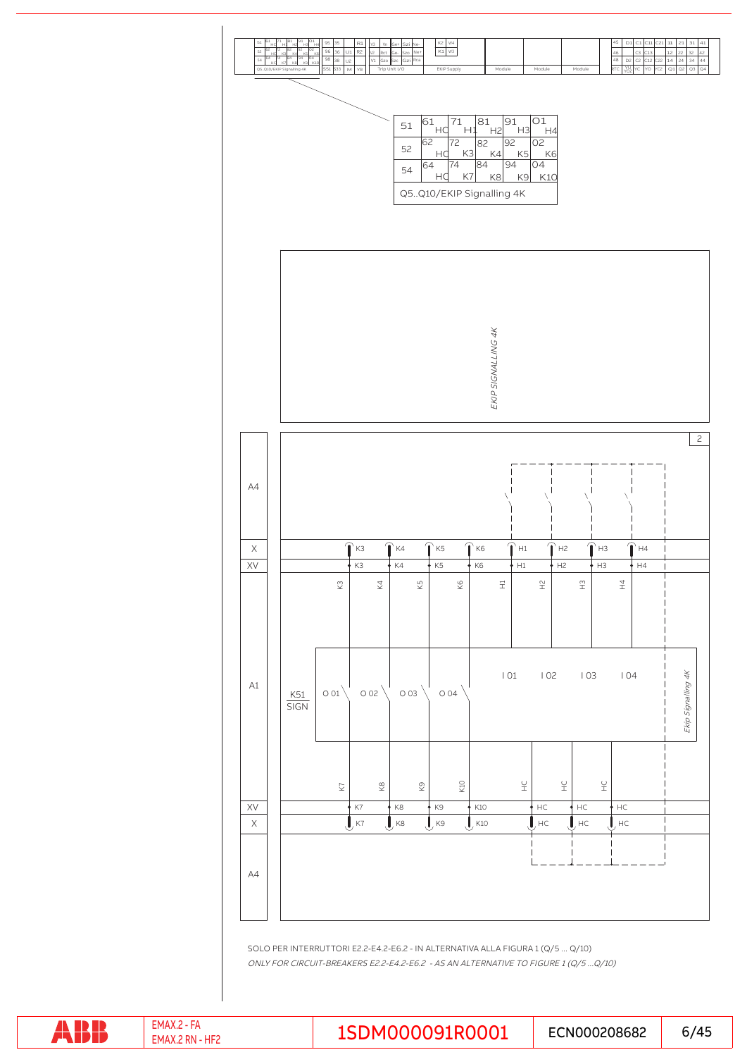

ONLY FOR CIRCUIT-BREAKERS E2.2-E4.2-E6.2 - AS AN ALTERNATIVE TO FIGURE 1 (Q/5 ...Q/10) SOLO PER INTERRUTTORI E2.2-E4.2-E6.2 - IN ALTERNATIVA ALLA FIGURA 1 (Q/5 ... Q/10)

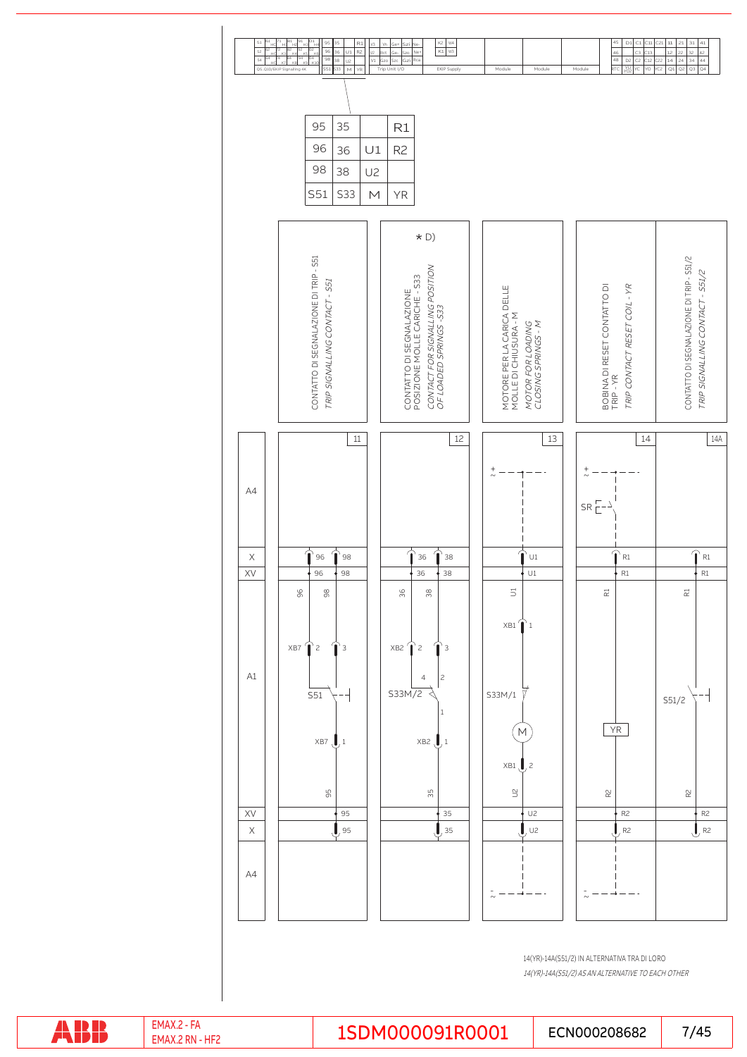

14(YR)-14A(S51/2) IN ALTERNATIVA TRA DI LORO 14(YR)-14A(S51/2) AS AN ALTERNATIVE TO EACH OTHER

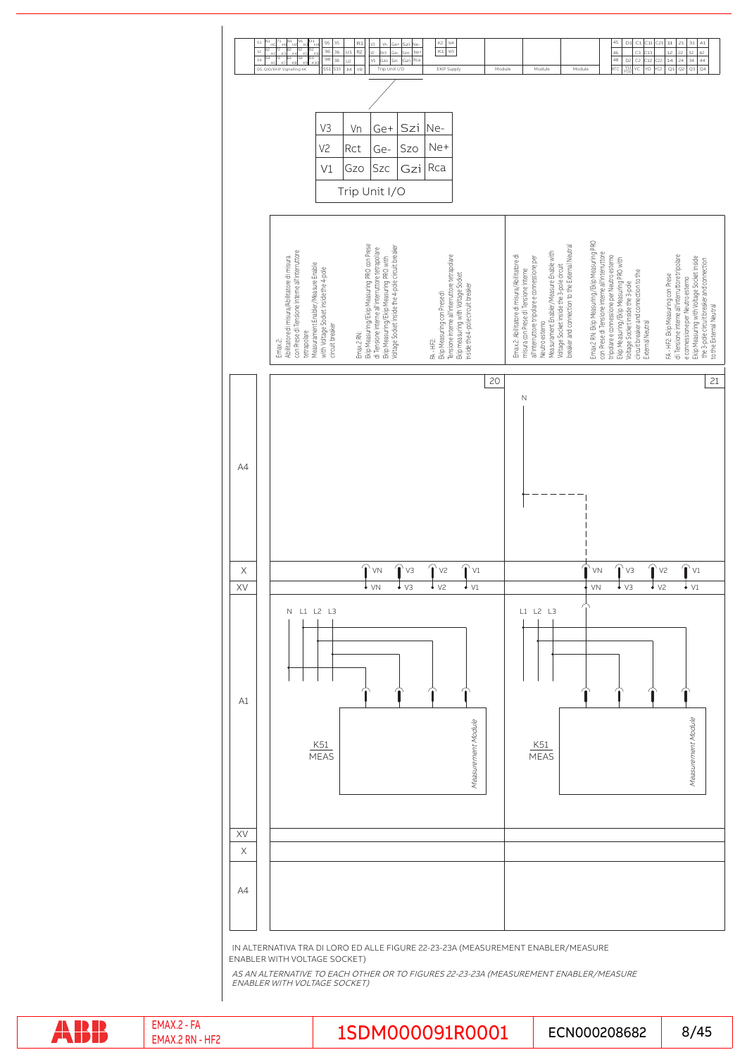

IN ALTERNATIVA TRA DI LORO ED ALLE FIGURE 22-23-23A (MEASUREMENT ENABLER/MEASURE ENABLER WITH VOLTAGE SOCKET)

AS AN ALTERNATIVE TO EACH OTHER OR TO FIGURES 22-23-23A (MEASUREMENT ENABLER/MEASURE<br>ENABLER WITH VOLTAGE SOCKET)

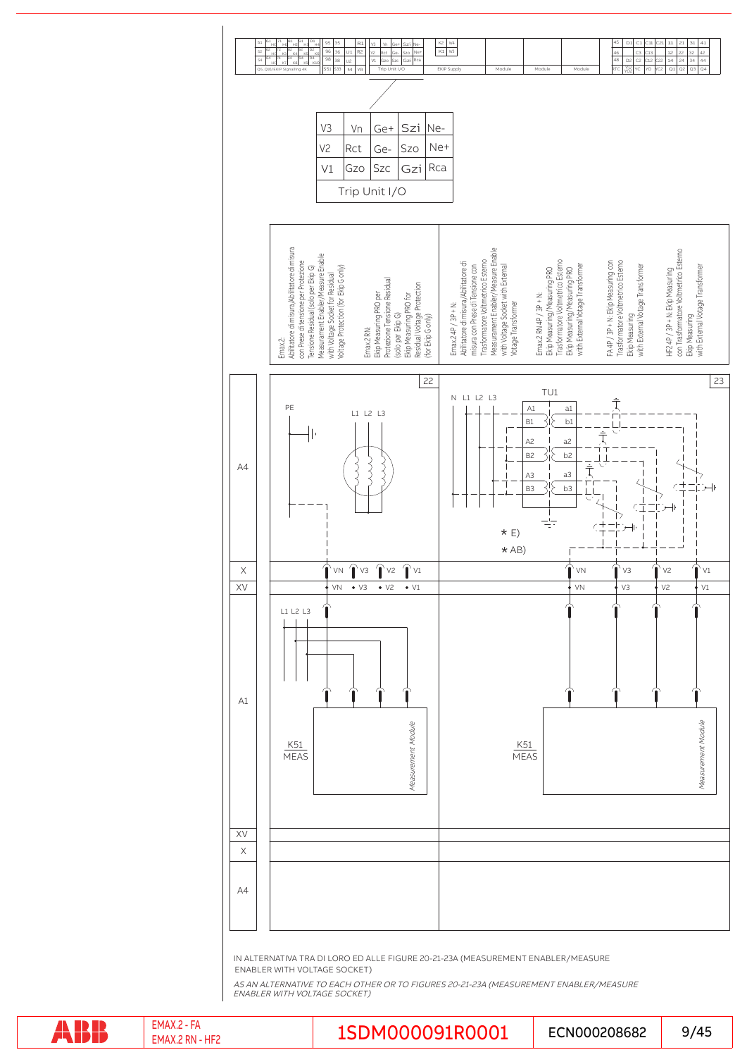

IN ALTERNATIVA TRA DI LORO ED ALLE FIGURE 20-21-23A (MEASUREMENT ENABLER/MEASURE ENABLER WITH VOLTAGE SOCKET)

AS AN ALTERNATIVE TO EACH OTHER OR TO FIGURES 20-21-23A (MEASUREMENT ENABLER/MEASURE ENABLER WITH VOLTAGE SOCKET)

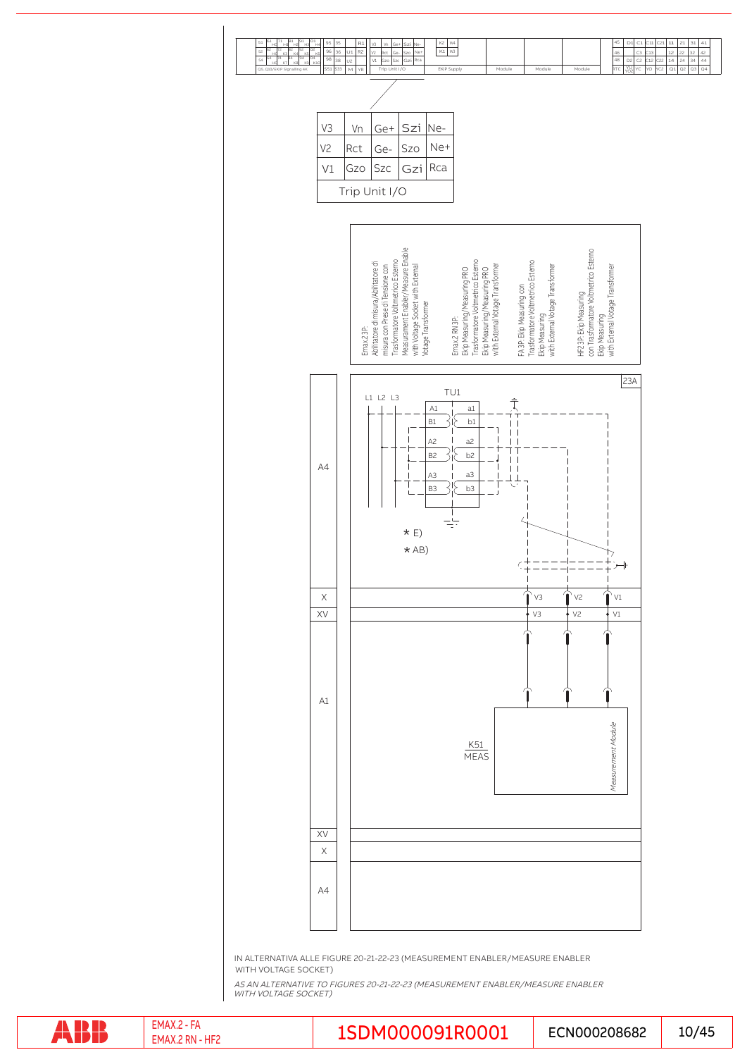

IN ALTERNATIVA ALLE FIGURE 20-21-22-23 (MEASUREMENT ENABLER/MEASURE ENABLER WITH VOLTAGE SOCKET)

AS AN ALTERNATIVE TO FIGURES 20-21-22-23 (MEASUREMENT ENABLER/MEASURE ENABLER WITH VOLTAGE SOCKET)

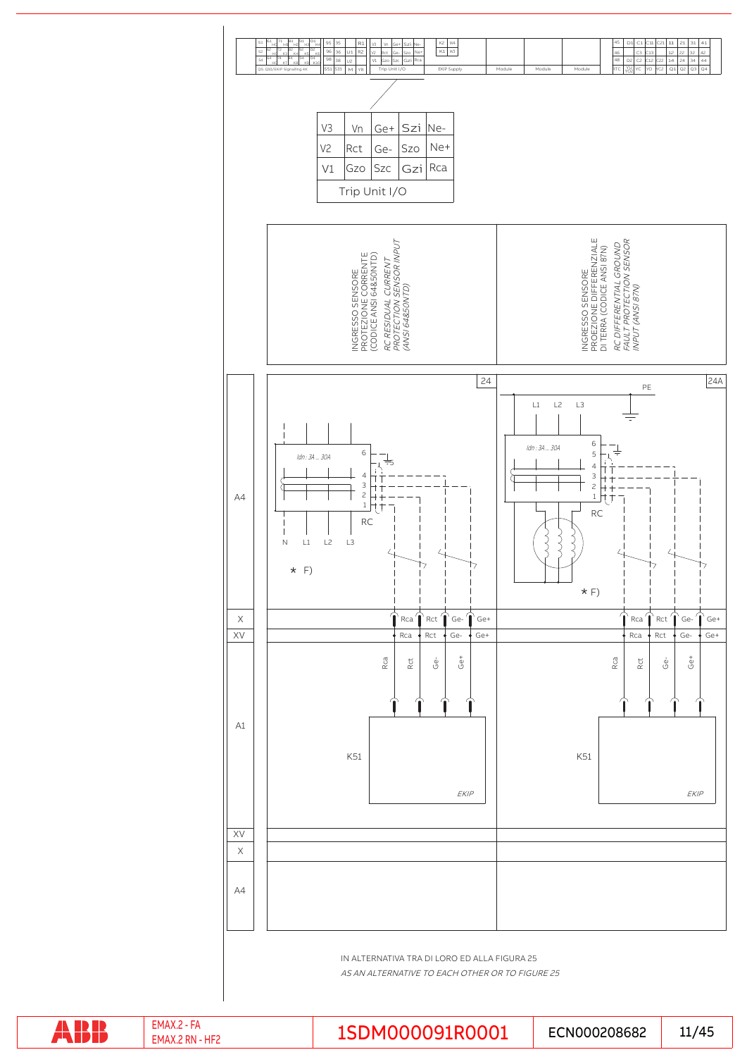

AS AN ALTERNATIVE TO EACH OTHER OR TO FIGURE 25

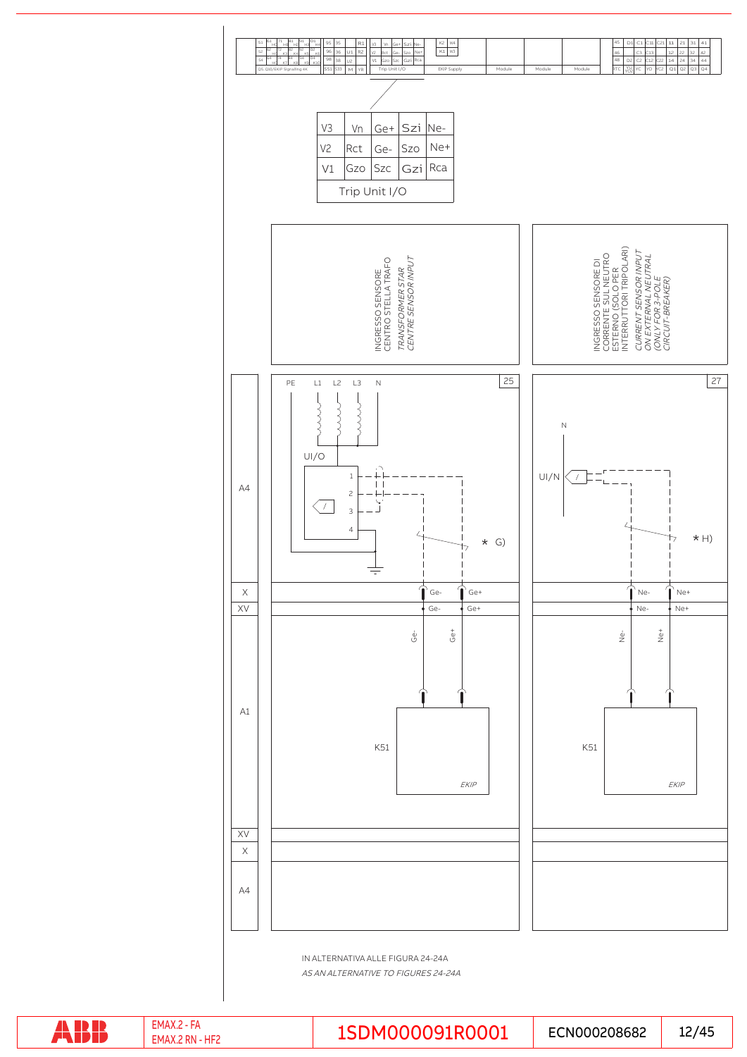

IN ALTERNATIVA ALLE FIGURA 24-24A

AS AN ALTERNATIVE TO FIGURES 24-24A

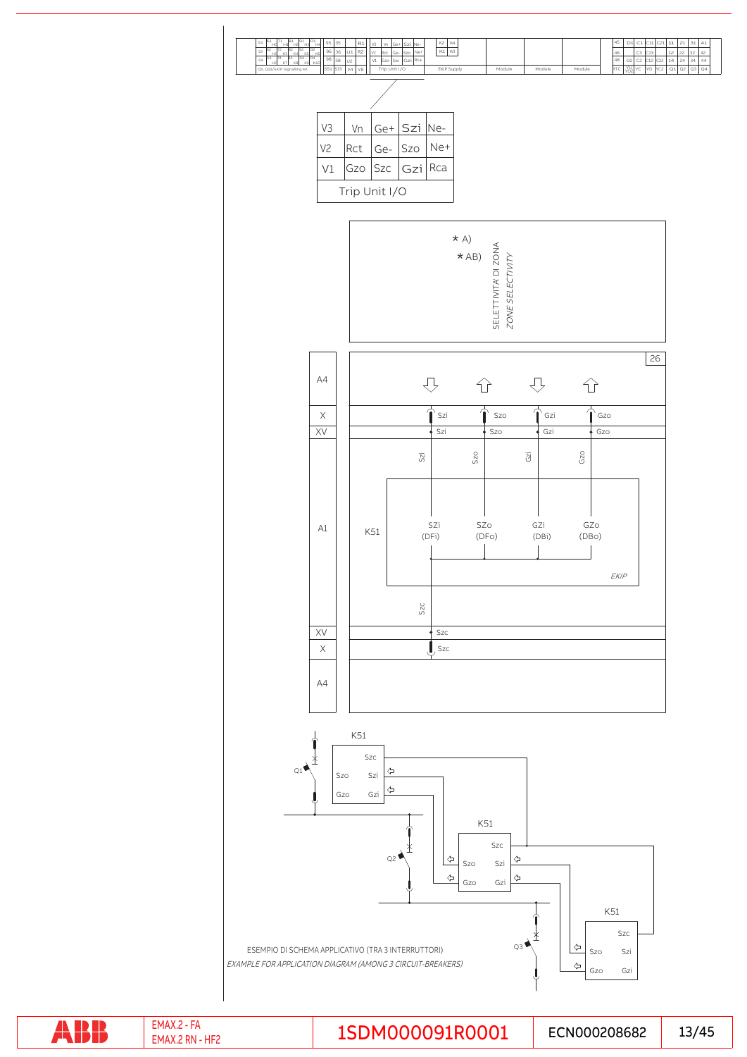

ABB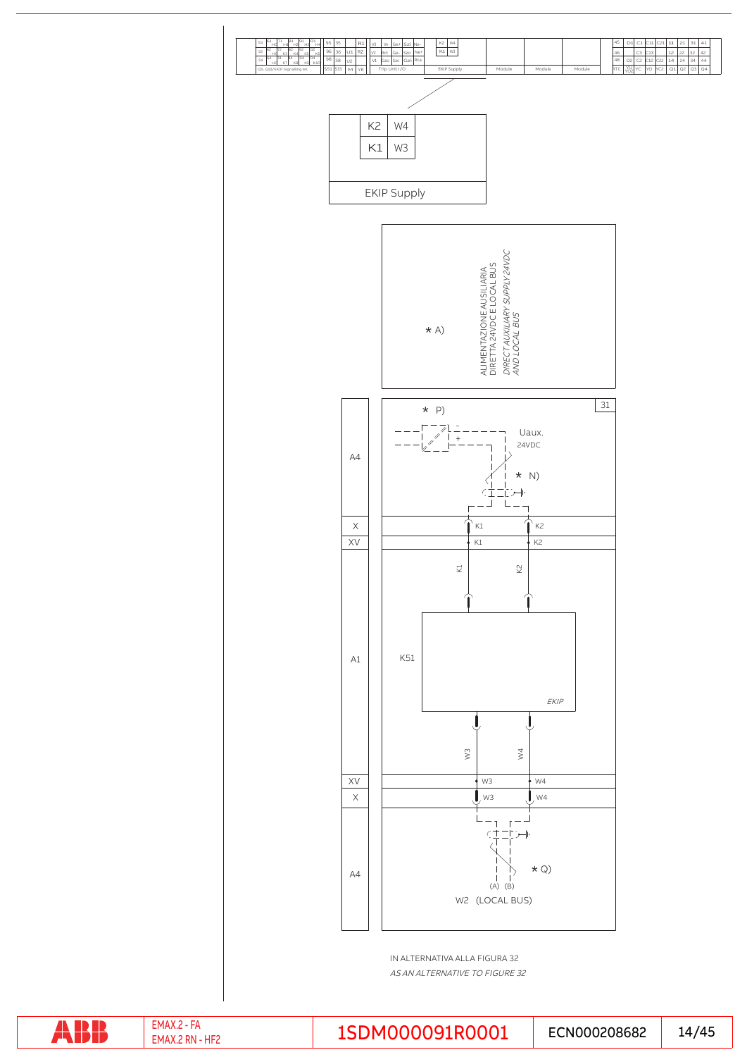

AS AN ALTERNATIVE TO FIGURE 32

ABB

EMAX.2 RN - HF2

EMAX.2 - FA EMAX.2 - FA EMAX.2 - FA ECNO00208682 | 14/45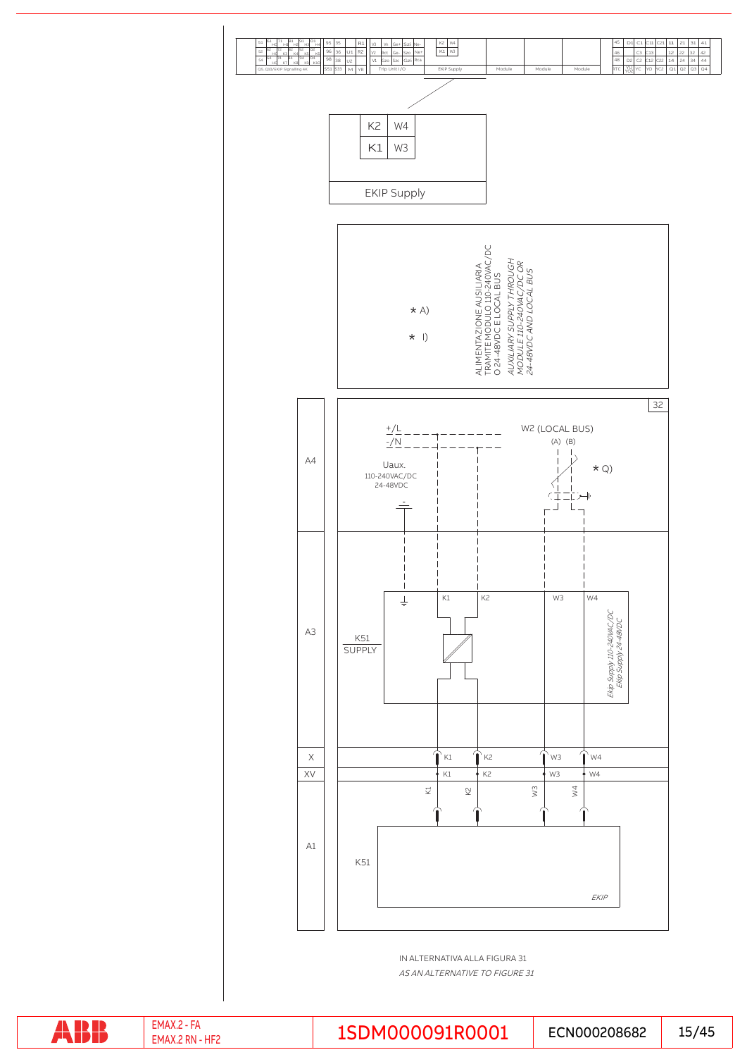

IN ALTERNATIVA ALLA FIGURA 31 AS AN ALTERNATIVE TO FIGURE 31

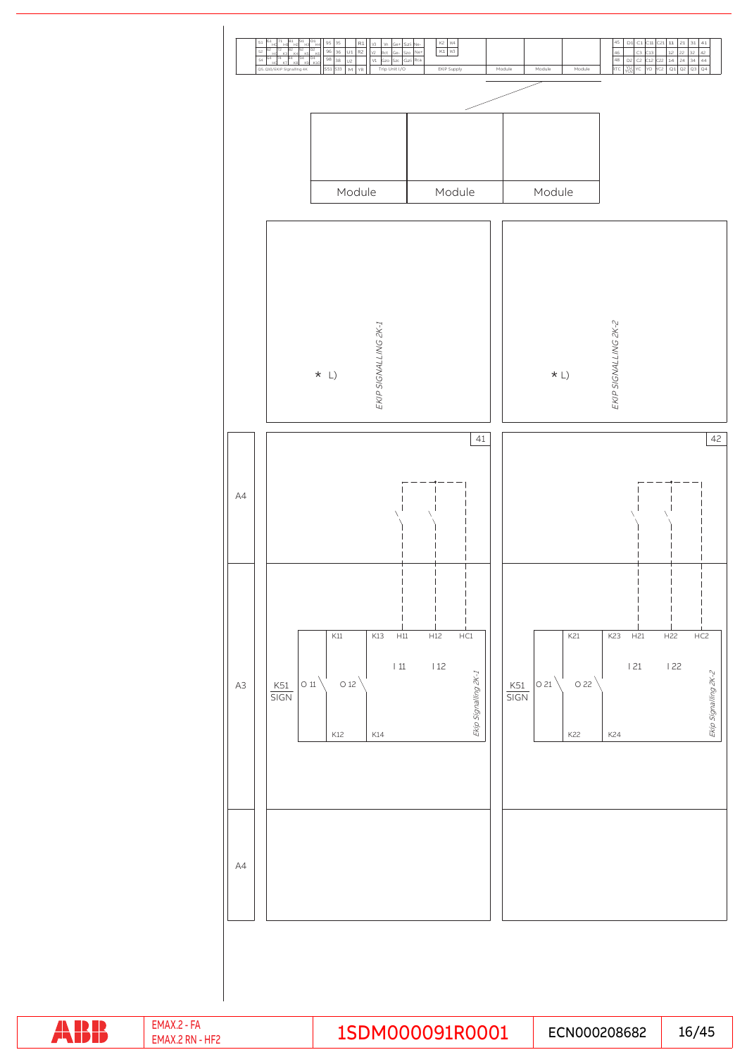

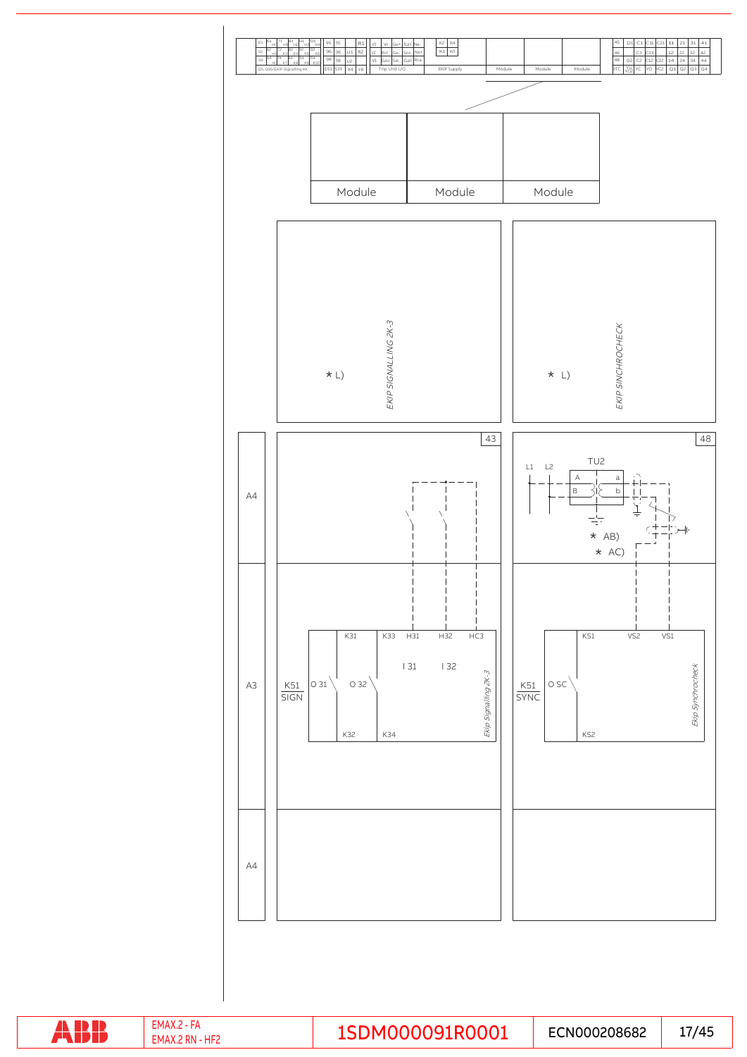

ABB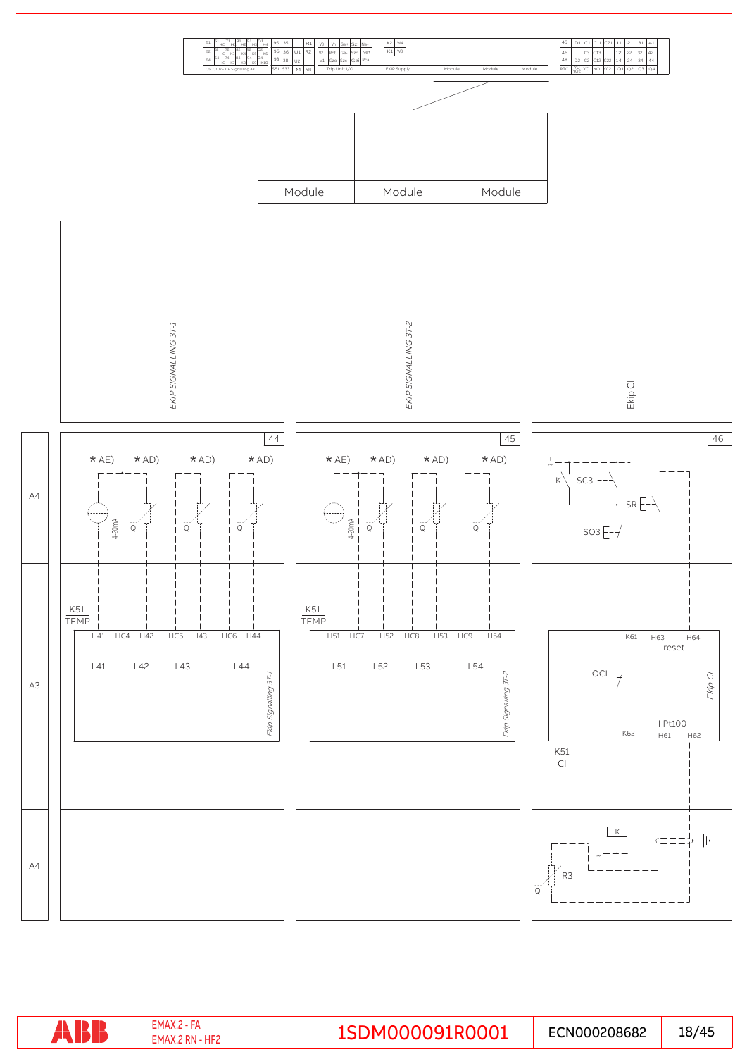

|  |  | EMAX.2<br>uг1<br>$2$ RN $\overline{a}$<br>EMAX. | 1SDM000091R0001 | ECN000208682 | 18/45 |
|--|--|-------------------------------------------------|-----------------|--------------|-------|
|--|--|-------------------------------------------------|-----------------|--------------|-------|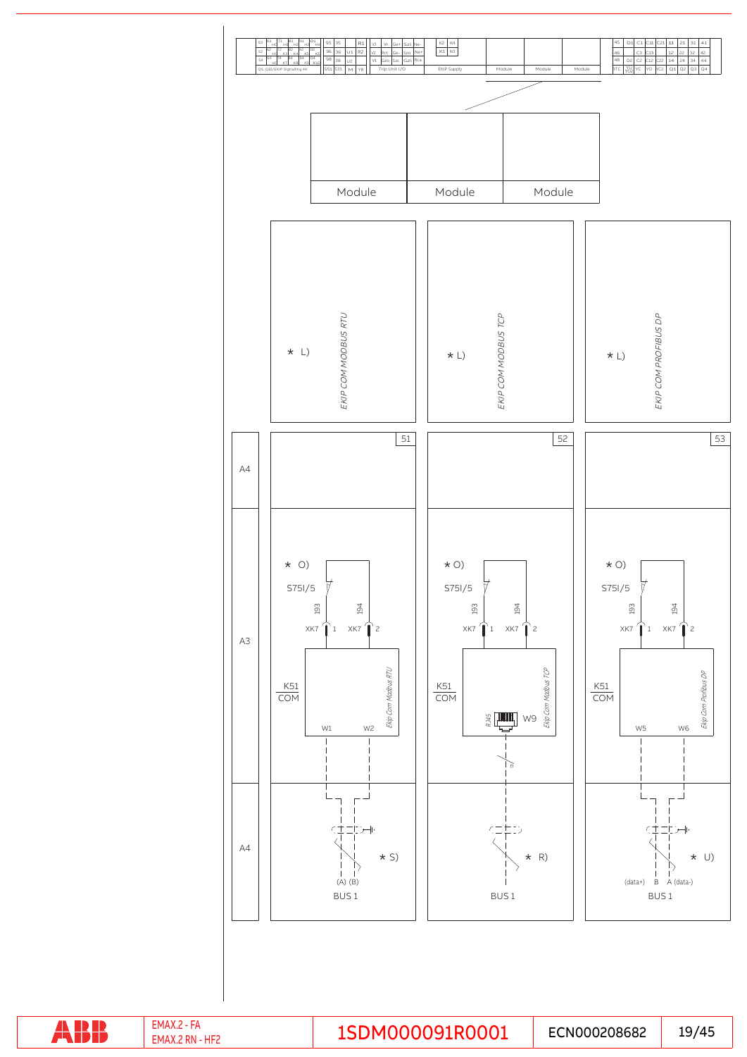

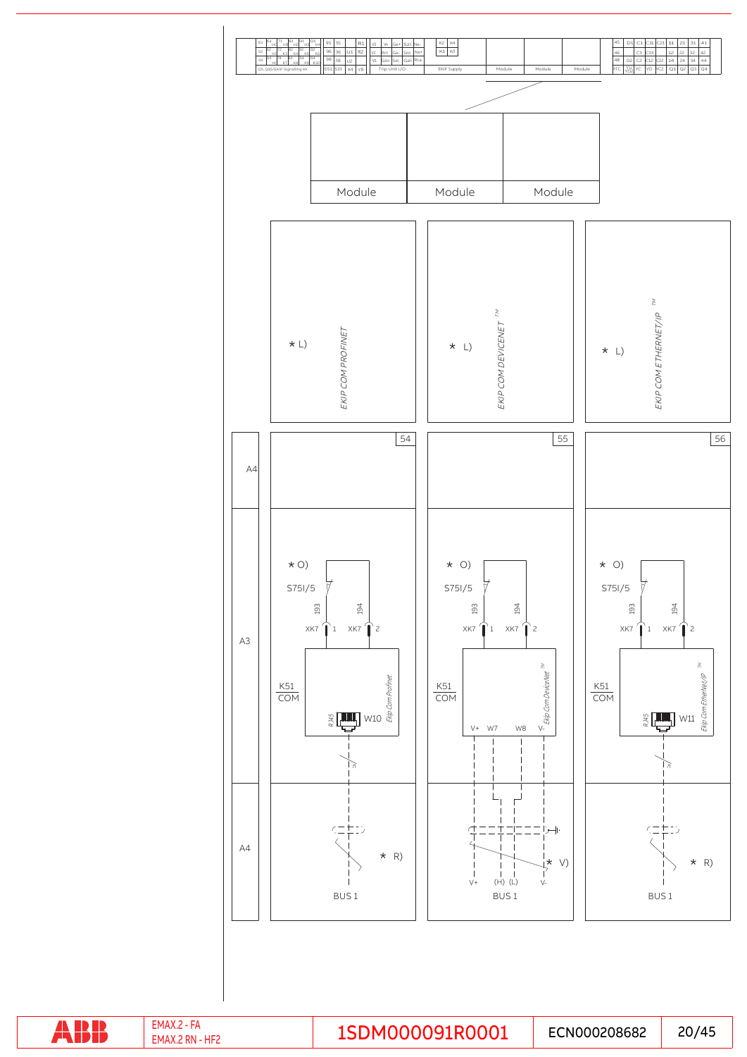

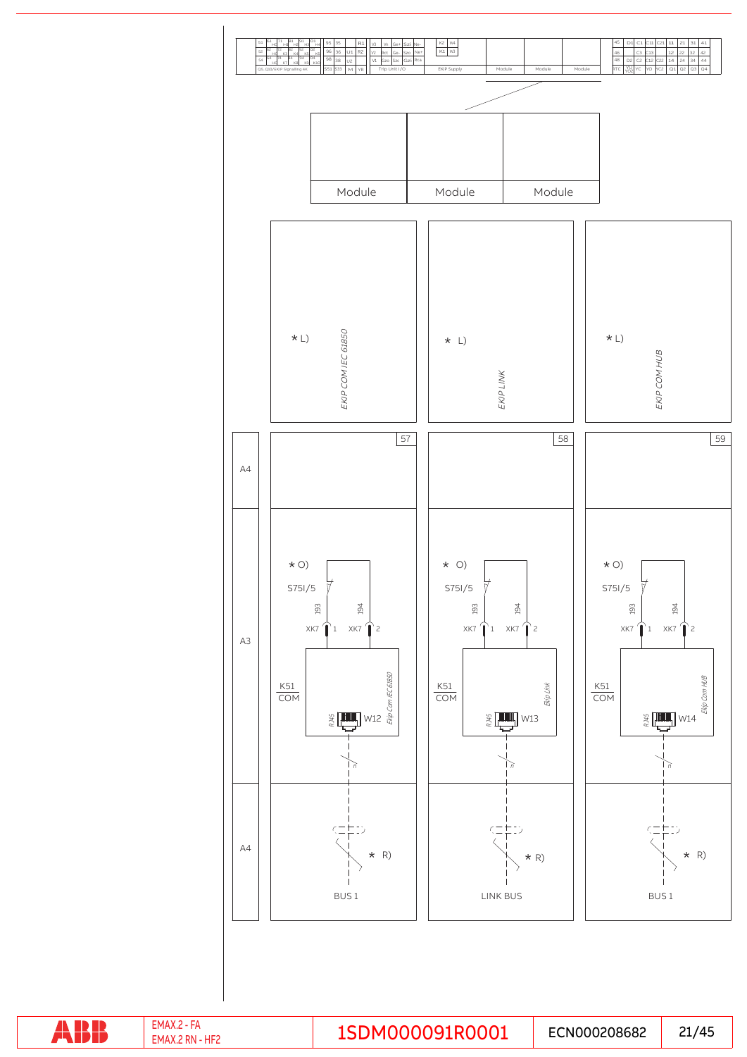

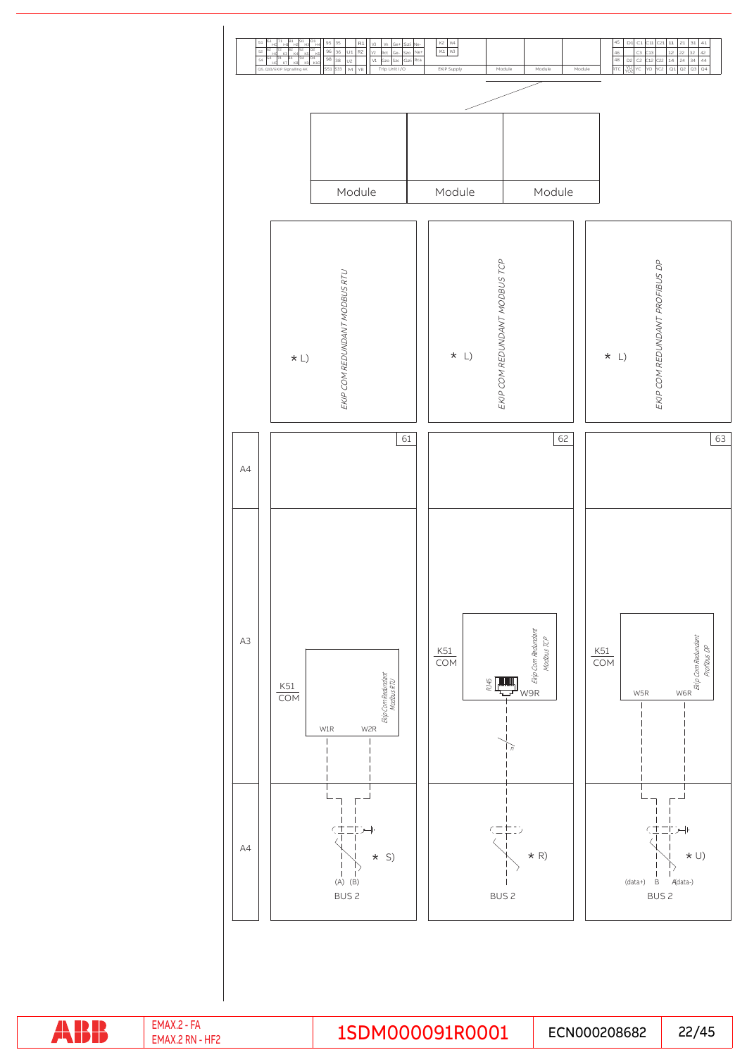

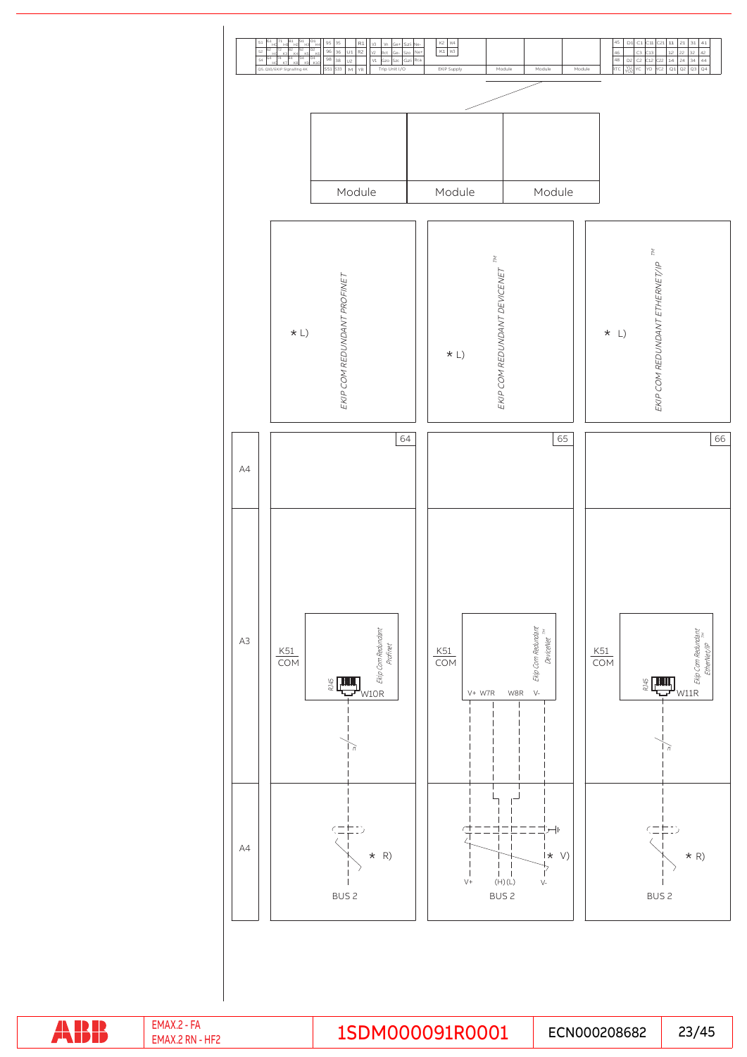

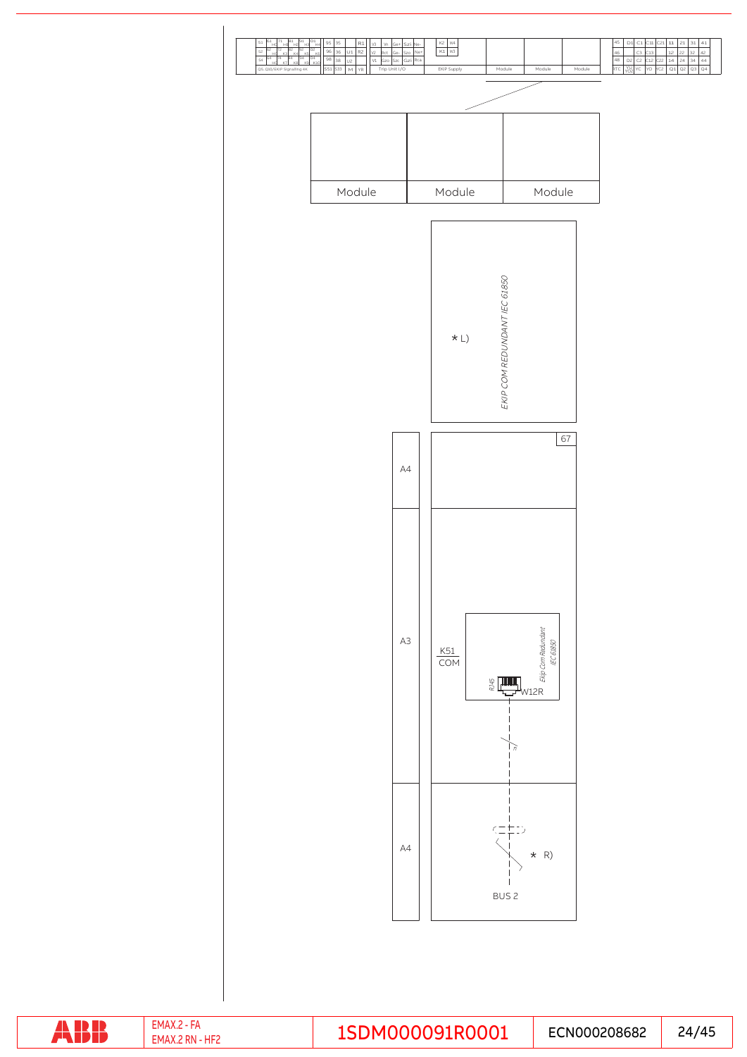

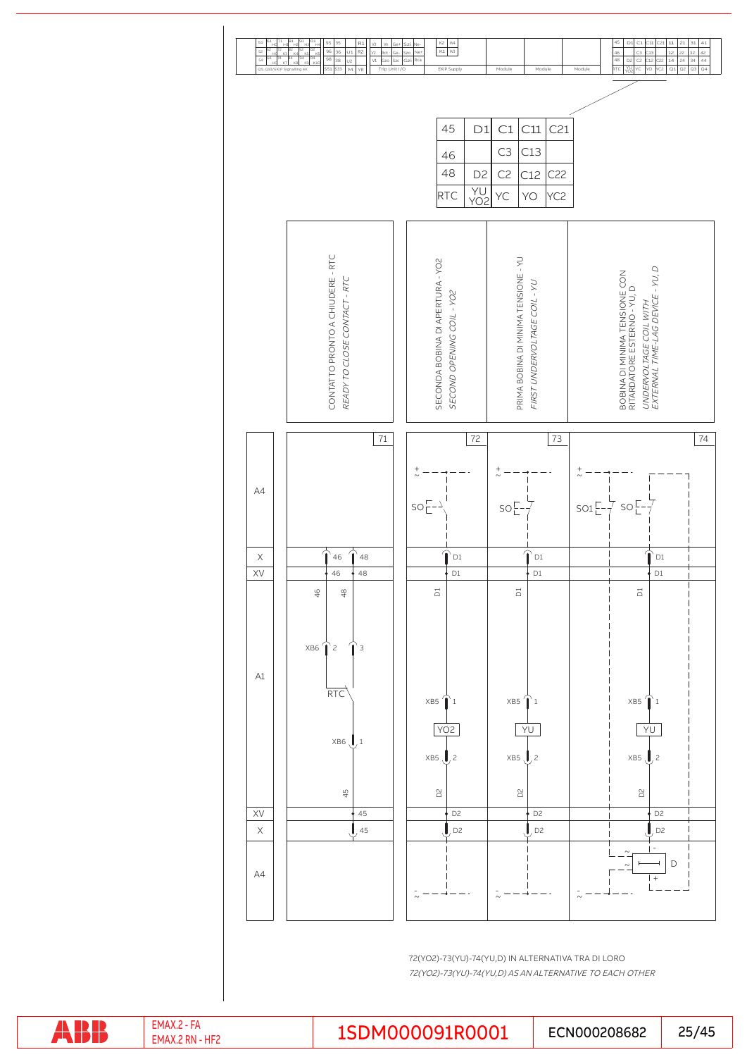

72(YO2)-73(YU)-74(YU,D) IN ALTERNATIVA TRA DI LORO 72(YO2)-73(YU)-74(YU,D) AS AN ALTERNATIVE TO EACH OTHER

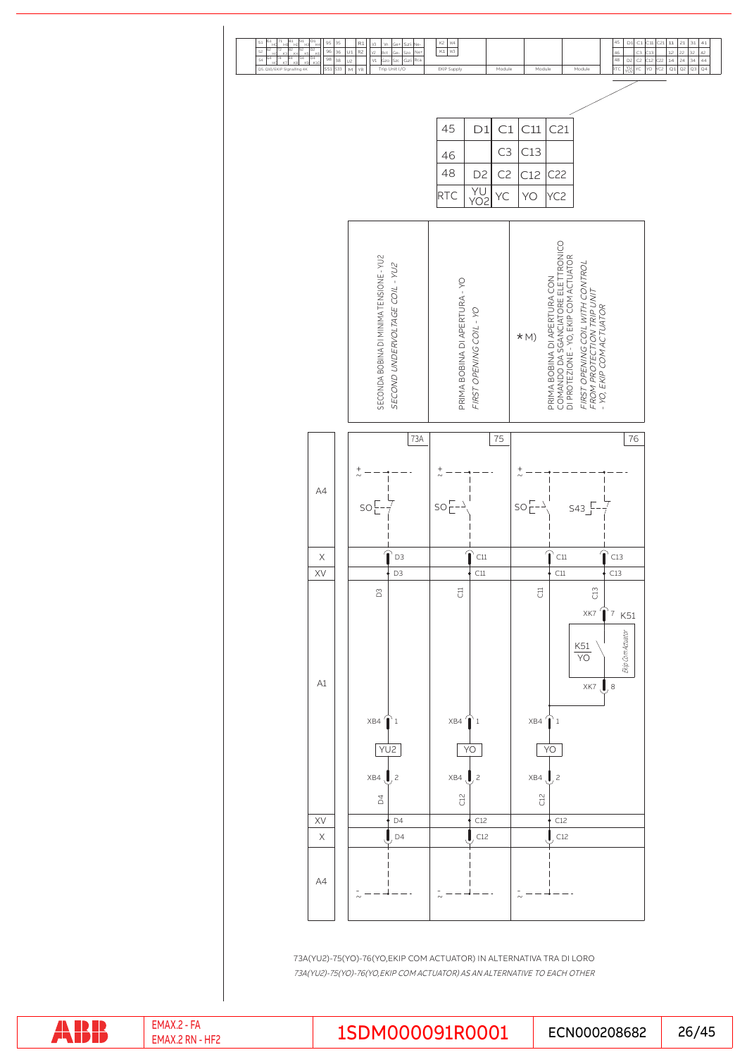

73A(YU2)-75(YO)-76(YO,EKIP COM ACTUATOR) IN ALTERNATIVA TRA DI LORO 73A(YU2)-75(YO)-76(YO,EKIP COM ACTUATOR) AS AN ALTERNATIVE TO EACH OTHER

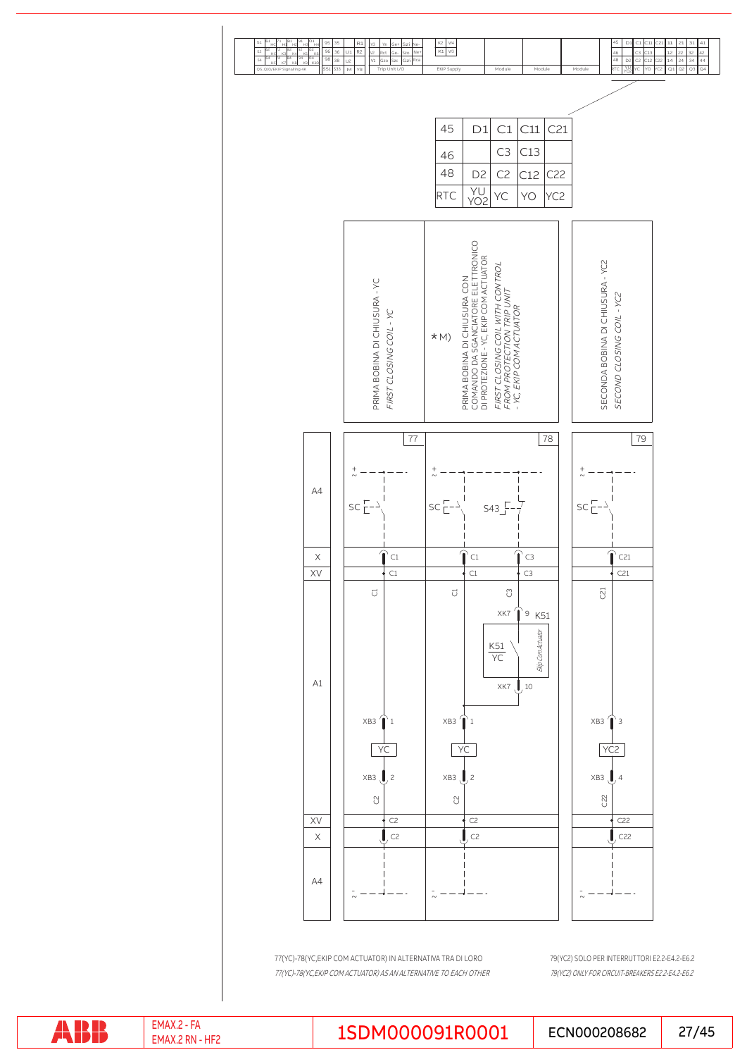

77(YC)-78(YC,EKIP COM ACTUATOR) AS AN ALTERNATIVE TO EACH OTHER 77(YC)-78(YC,EKIP COM ACTUATOR) IN ALTERNATIVA TRA DI LORO

79(YC2) ONLY FOR CIRCUIT-BREAKERS E2.2-E4.2-E6.2 79(YC2) SOLO PER INTERRUTTORI E2.2-E4.2-E6.2

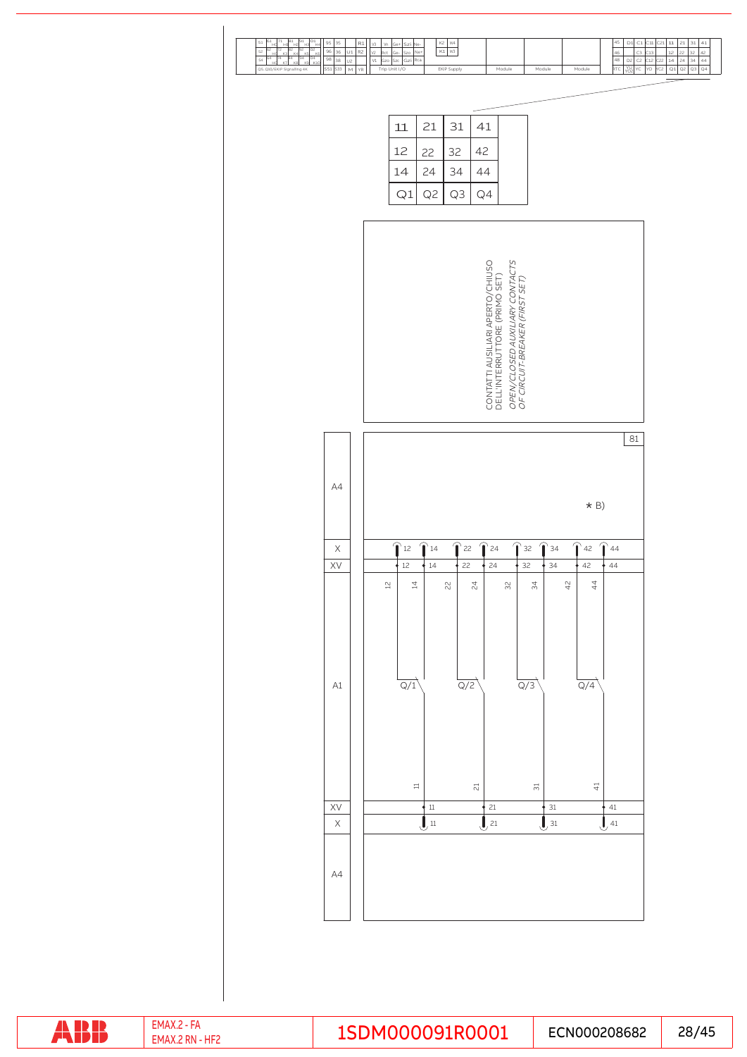| $\frac{5}{4}$<br>$^{51}$<br>$\bar{a}$<br>95<br>35<br>$\mathsf{R}1$<br>96<br>52<br>36<br>$_{\cup1}$<br>$\mathsf{R}2$<br>98<br>$\overline{38}$<br>54<br>U <sub>2</sub><br><b>S33</b><br>$\mathop{\mathsf{M}}\nolimits$<br>Q5Q10/EKIP Signalling 4K<br>551<br>$\forall \mathsf{R}$ | K2<br>45<br>$\mathsf{D}1$<br>$_{\rm C1}$<br>$\mathbf{11}$<br>W <sub>4</sub><br>$_{\rm C11}$<br>C21<br>V3<br>Vn<br>Ge+<br>Ne-<br>Szi<br>$K1$ W3<br>Ne+<br>V2<br>$rac{46}{48}$<br>Rct<br>Szo<br>C <sub>3</sub><br>13<br>Ge-<br>$\vee\!\!1$<br>Gzi<br>Rca<br>D <sub>2</sub><br>C2<br>C12<br>$\frac{1}{2}$<br>Gzo<br>Szc<br>RTC<br>YU<br>YO2<br>YC<br>$\overline{YQ}$<br>Trip Unit I/O<br>EKIP Supply<br>Module<br>Module<br>Module | $\mathbf{21}$<br>$\overline{31}$<br>$\begin{array}{ c c c c }\n\hline\n12 & 22 & 32 \\ \hline\n14 & 24 & 34 \\ \hline\n\hline\n\text{Q1} & \text{Q2} & \text{Q1} & \text{Q2} & \text{Q2} \\ \hline\n\end{array}$ |
|---------------------------------------------------------------------------------------------------------------------------------------------------------------------------------------------------------------------------------------------------------------------------------|---------------------------------------------------------------------------------------------------------------------------------------------------------------------------------------------------------------------------------------------------------------------------------------------------------------------------------------------------------------------------------------------------------------------------------|------------------------------------------------------------------------------------------------------------------------------------------------------------------------------------------------------------------|
|                                                                                                                                                                                                                                                                                 | 21<br>31<br>41<br>11<br>12<br>32<br>42<br>22<br>24<br>34<br>44<br>14<br>Q <sub>2</sub><br>Q1<br>Q3<br>Q4                                                                                                                                                                                                                                                                                                                        |                                                                                                                                                                                                                  |
|                                                                                                                                                                                                                                                                                 | OPEN/CLOSED AUXILIARY CONTACTS<br>OF CIRCUIT-BREAKER (FIRST SET)<br>CONTATTI AUSILIARI APERTO/CHIUSO<br>DELL'INTERRUTTORE (PRIMO SET)                                                                                                                                                                                                                                                                                           |                                                                                                                                                                                                                  |
| AA                                                                                                                                                                                                                                                                              | 81<br>$\star$ B)                                                                                                                                                                                                                                                                                                                                                                                                                |                                                                                                                                                                                                                  |
| $\times$<br>XV                                                                                                                                                                                                                                                                  | $\bigcap_{12}$<br>$\hat{\mathbf{r}}$ 22<br>$\mathbf \Omega$<br>$\bigcap$ 44<br>$\bigcap_{14}$<br>$\mathbf{\widehat{T}}$ 24<br>$\bigcap_{32}$<br>$\bigcap$ 34<br>42<br>$12$<br>22<br>24<br>34<br>42<br>14<br>32<br>44<br>42<br>44<br>$\overline{4}$<br>$\,{}^{24}$<br>$\stackrel{\sim}{4}$<br>$\mathop\simeq\limits_{\textstyle\sim}$<br>22<br>32                                                                                |                                                                                                                                                                                                                  |
| $\mathsf{A}1$                                                                                                                                                                                                                                                                   | Q/1<br>Q/2<br>Q/3<br>$\overline{Q/4}$                                                                                                                                                                                                                                                                                                                                                                                           |                                                                                                                                                                                                                  |
| XV<br>$\mathsf X$                                                                                                                                                                                                                                                               | $\Xi$<br>$\overleftrightarrow{+}$<br>$\Xi$<br>$\overline{\sim}$<br>$21$<br>$\frac{31}{1}$<br>$\frac{1}{2}$<br>$41\,$<br>, 31<br>$\mathbf{J}$ 11<br>$\mathbf{J}$ <sub>21</sub><br>J<br>,41                                                                                                                                                                                                                                       |                                                                                                                                                                                                                  |
| AA                                                                                                                                                                                                                                                                              |                                                                                                                                                                                                                                                                                                                                                                                                                                 |                                                                                                                                                                                                                  |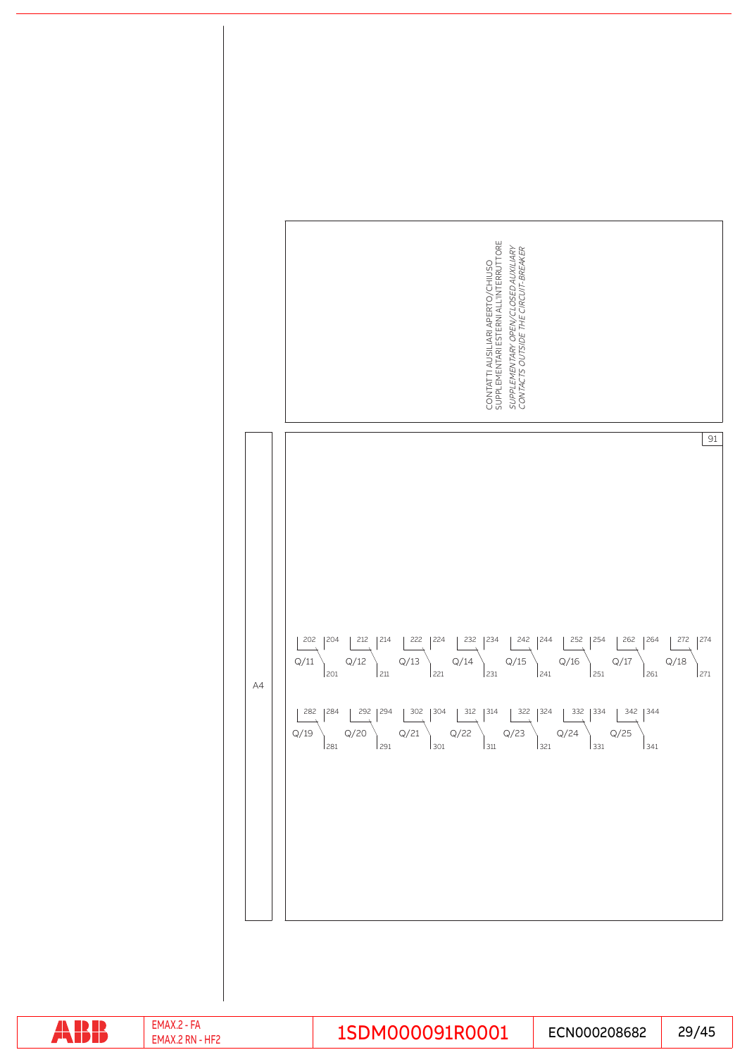|    | SUPPLEMENTARI ESTERNI ALL'INTERRUTTORE<br>SUPPLEMENTARY OPEN/CLOSED AUXILIARY<br>CONTACTS OUTSIDE THE CIRCUIT-BREAKER<br>CONTATTI AUSILIARI APERTO/CHIUSO |
|----|-----------------------------------------------------------------------------------------------------------------------------------------------------------|
| A4 | 91<br>Q/19                                                                                                                                                |

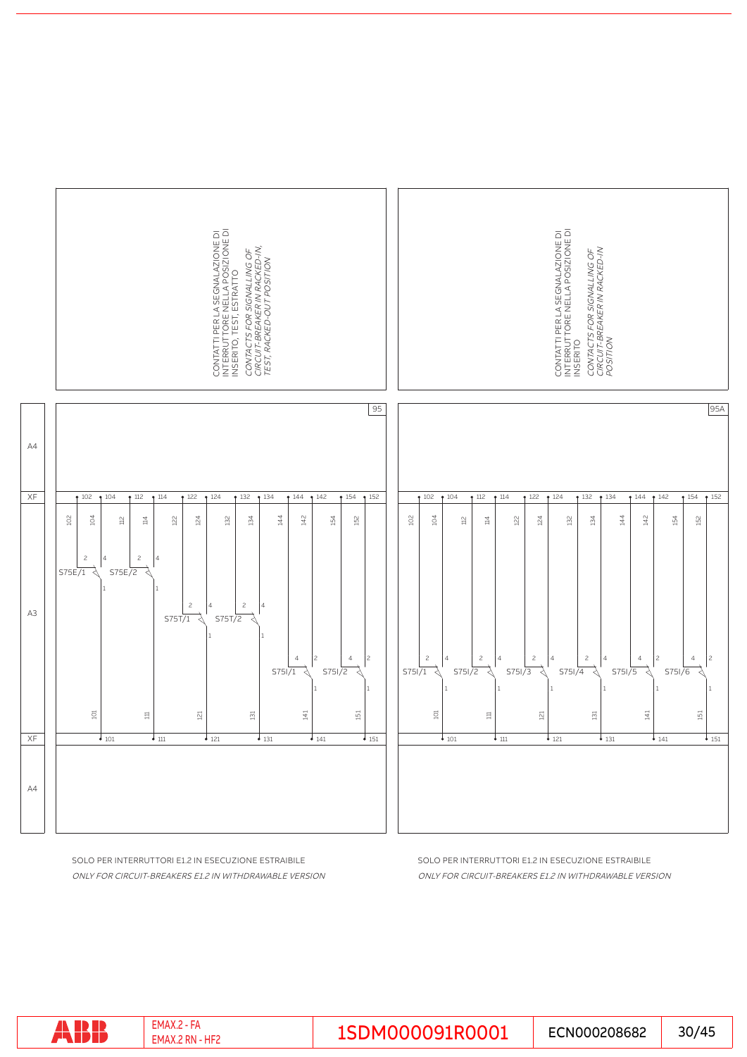

ONLY FOR CIRCUIT-BREAKERS E1.2 IN WITHDRAWABLE VERSION SOLO PER INTERRUTTORI E1.2 IN ESECUZIONE ESTRAIBILE

ONLY FOR CIRCUIT-BREAKERS E1.2 IN WITHDRAWABLE VERSION SOLO PER INTERRUTTORI E1.2 IN ESECUZIONE ESTRAIBILE

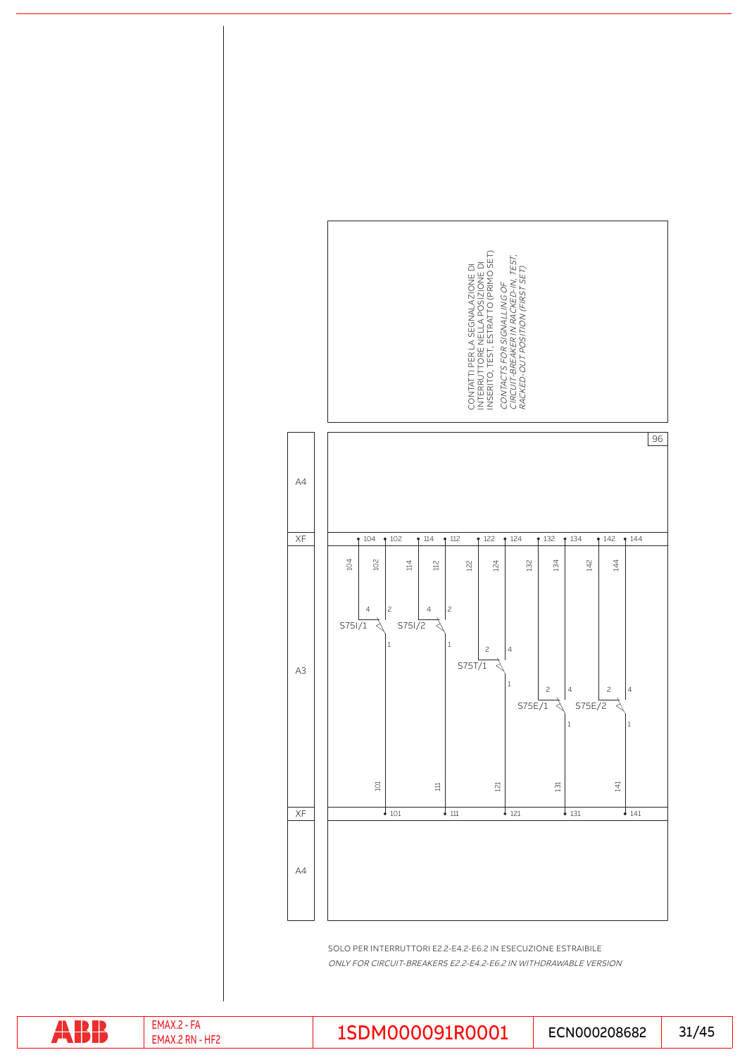SOLO PER INTERRUTTORI E2.2-E4.2-E6.2 IN ESECUZIONE ESTRAIBILE ONLY FOR CIRCUIT-BREAKERS E2.2-E4.2-E6.2 IN WITHDRAWABLE VERSION



ABB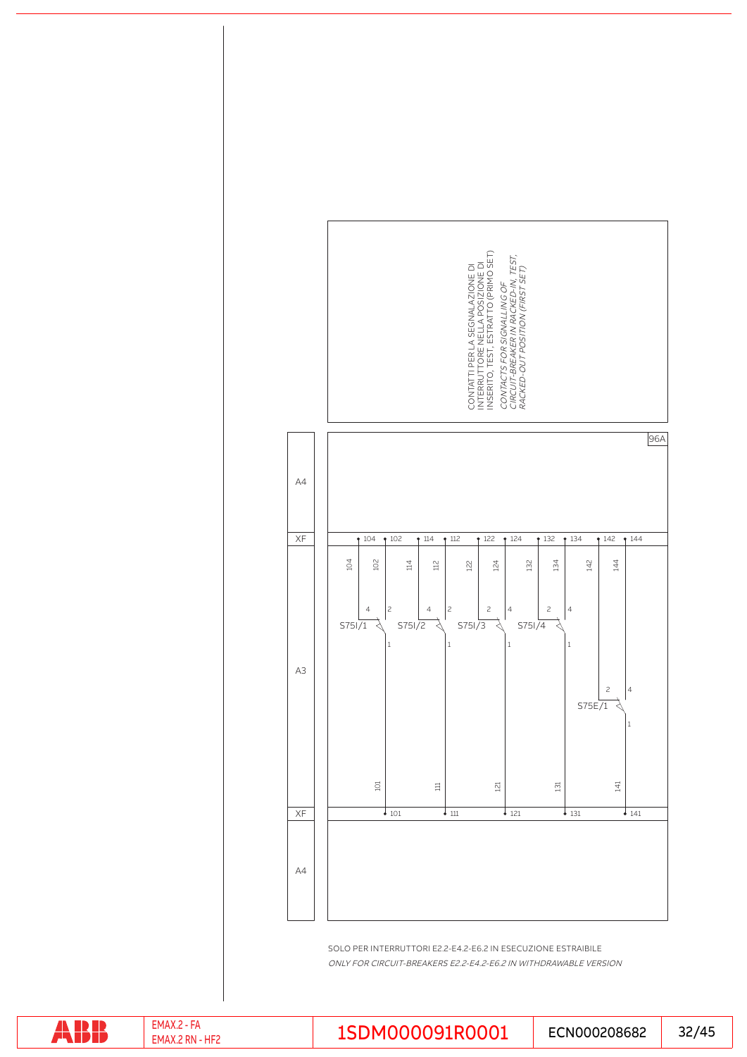SOLO PER INTERRUTTORI E2.2-E4.2-E6.2 IN ESECUZIONE ESTRAIBILE ONLY FOR CIRCUIT-BREAKERS E2.2-E4.2-E6.2 IN WITHDRAWABLE VERSION



ABB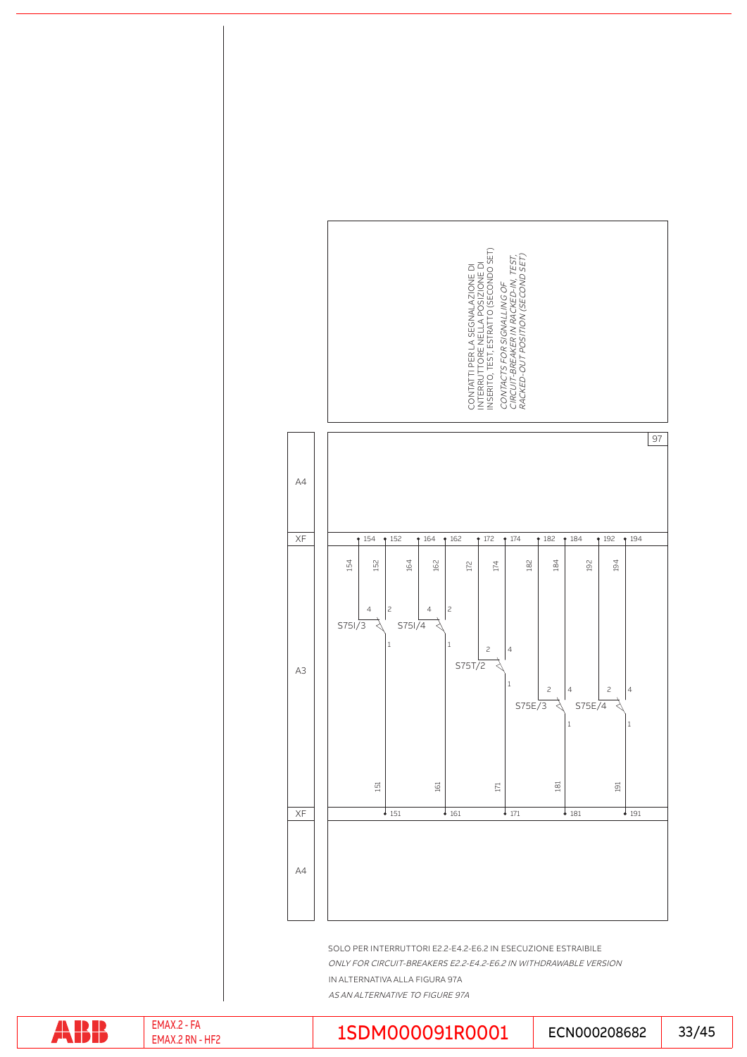

ONLY FOR CIRCUIT-BREAKERS E2.2-E4.2-E6.2 IN WITHDRAWABLE VERSION IN ALTERNATIVA ALLA FIGURA 97A

AS AN ALTERNATIVE TO FIGURE 97A



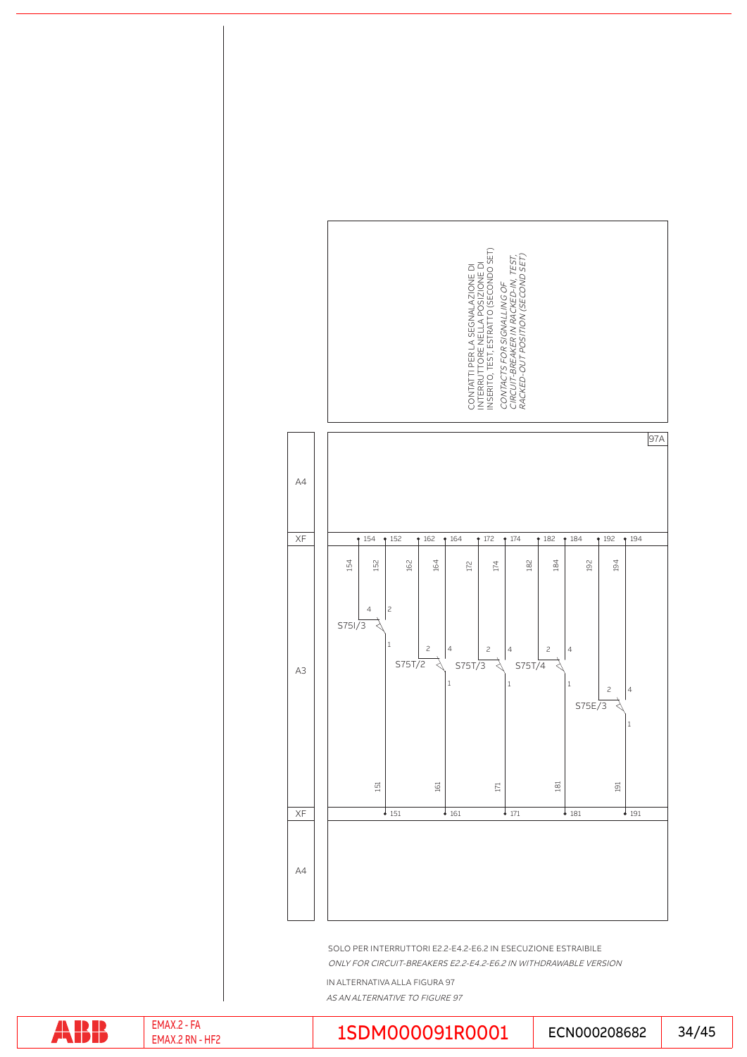

IN ALTERNATIVA ALLA FIGURA 97 AS AN ALTERNATIVE TO FIGURE 97

ONLY FOR CIRCUIT-BREAKERS E2.2-E4.2-E6.2 IN WITHDRAWABLE VERSION

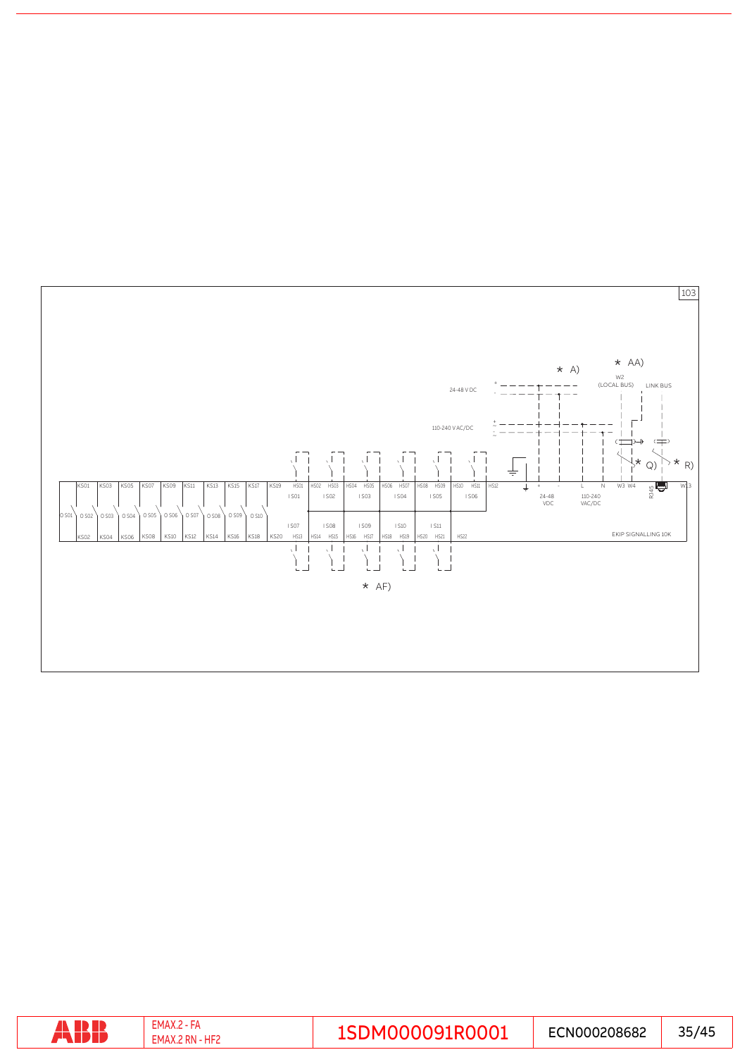

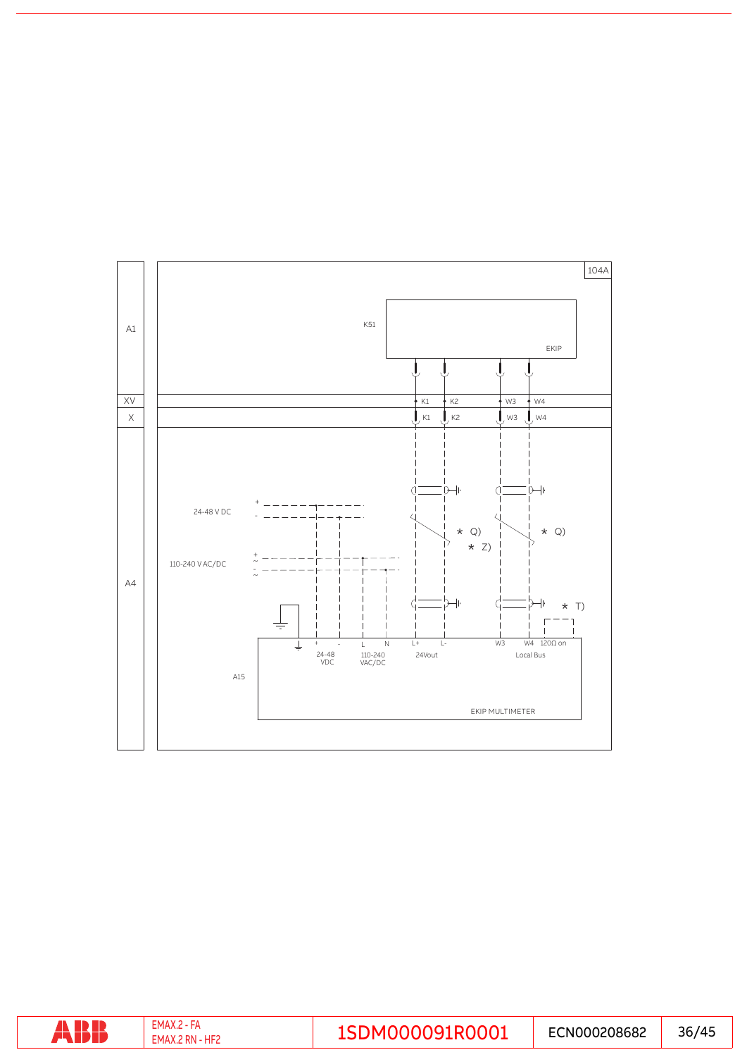

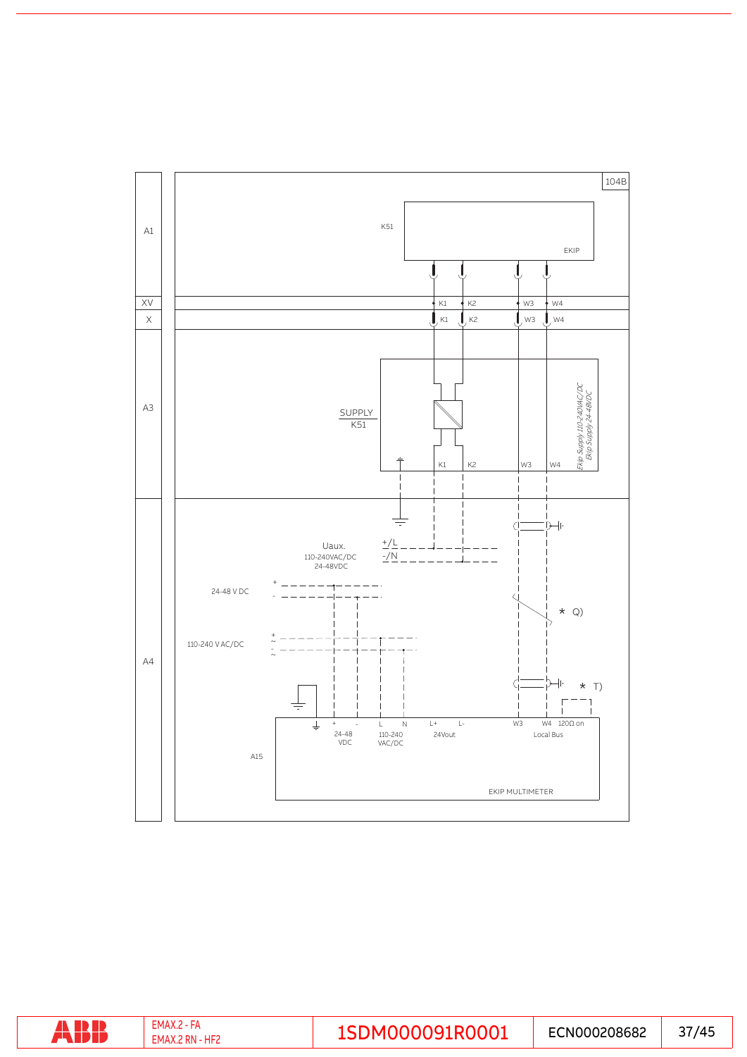

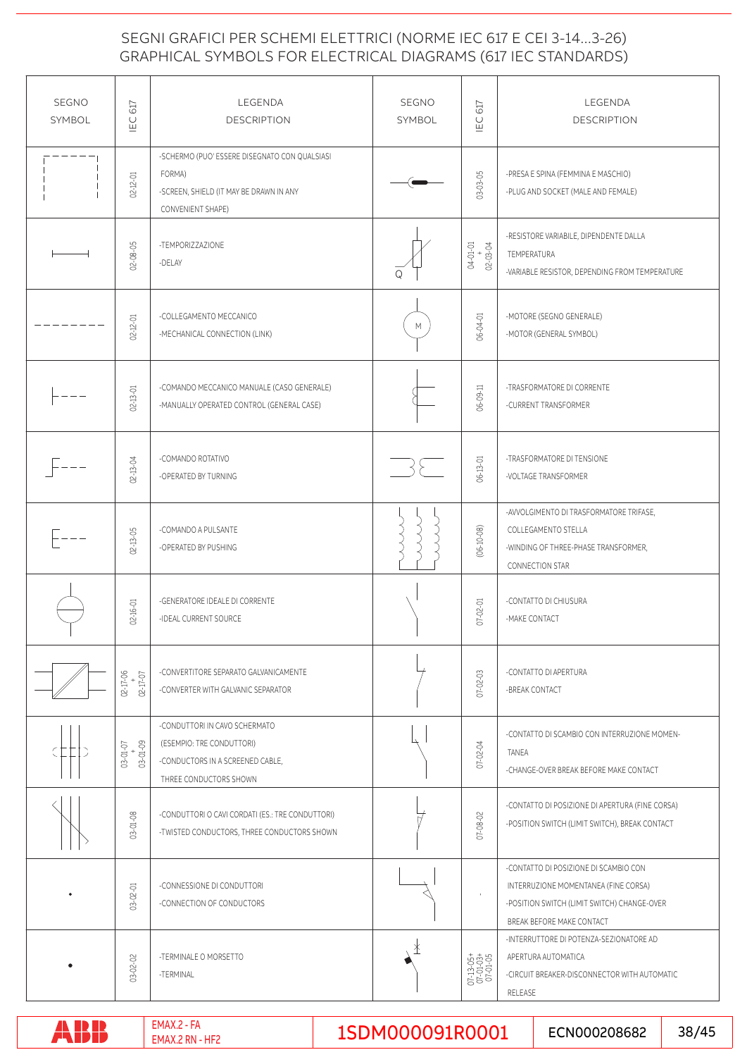### GRAPHICAL SYMBOLS FOR ELECTRICAL DIAGRAMS (617 IEC STANDARDS) SEGNI GRAFICI PER SCHEMI ELETTRICI (NORME IEC 617 E CEI 3-14...3-26)

| <b>SEGNO</b><br><b>SYMBOL</b> | IEC 617                      | LEGENDA<br><b>DESCRIPTION</b>                                                                                            | <b>SEGNO</b><br>SYMBOL | IEC 617                            | LEGENDA<br><b>DESCRIPTION</b>                                                                                                                             |
|-------------------------------|------------------------------|--------------------------------------------------------------------------------------------------------------------------|------------------------|------------------------------------|-----------------------------------------------------------------------------------------------------------------------------------------------------------|
|                               | $02 - 12 - 01$               | -SCHERMO (PUO' ESSERE DISEGNATO CON QUALSIASI<br>FORMA)<br>-SCREEN, SHIELD (IT MAY BE DRAWN IN ANY<br>CONVENIENT SHAPE)  |                        | 03-03-05                           | -PRESA E SPINA (FEMMINA E MASCHIO)<br>-PLUG AND SOCKET (MALE AND FEMALE)                                                                                  |
|                               | $02 - 08 - 05$               | -TEMPORIZZAZIONE<br>-DELAY                                                                                               | ω                      | 04-01-01<br>$0.2 - 0.3 - 0.4$      | -RESISTORE VARIABILE, DIPENDENTE DALLA<br>TEMPERATURA<br>-VARIABLE RESISTOR, DEPENDING FROM TEMPERATURE                                                   |
|                               | $02 - 12 - 01$               | -COLLEGAMENTO MECCANICO<br>-MECHANICAL CONNECTION (LINK)                                                                 | M                      | 06-04-01                           | -MOTORE (SEGNO GENERALE)<br>-MOTOR (GENERAL SYMBOL)                                                                                                       |
|                               | $02 - 13 - 01$               | -COMANDO MECCANICO MANUALE (CASO GENERALE)<br>-MANUALLY OPERATED CONTROL (GENERAL CASE)                                  |                        | 06-09-11                           | -TRASFORMATORE DI CORRENTE<br>-CURRENT TRANSFORMER                                                                                                        |
|                               | 02-13-04                     | -COMANDO ROTATIVO<br>-OPERATED BY TURNING                                                                                | $\rightarrow$          | 06-13-01                           | -TRASFORMATORE DI TENSIONE<br>-VOLTAGE TRANSFORMER                                                                                                        |
|                               | $02 - 13 - 05$               | -COMANDO A PULSANTE<br>-OPERATED BY PUSHING                                                                              |                        | $(06 - 10 - 08)$                   | -AVVOLGIMENTO DI TRASFORMATORE TRIFASE,<br>COLLEGAMENTO STELLA<br>-WINDING OF THREE-PHASE TRANSFORMER,<br>CONNECTION STAR                                 |
|                               | $02 - 16 - 01$               | -GENERATORE IDEALE DI CORRENTE<br>-IDEAL CURRENT SOURCE                                                                  |                        | $07 - 02 - 01$                     | -CONTATTO DI CHIUSURA<br>-MAKE CONTACT                                                                                                                    |
|                               | 02-17-06<br>$+$<br>17-50     | -CONVERTITORE SEPARATO GALVANICAMENTE<br>-CONVERTER WITH GALVANIC SEPARATOR                                              |                        | $07 - 02 - 03$                     | -CONTATTO DI APERTURA<br>-BREAK CONTACT                                                                                                                   |
|                               | $+ 03 - 01 - 09$<br>03-01-07 | -CONDUTTORI IN CAVO SCHERMATO<br>(ESEMPIO: TRE CONDUTTORI)<br>-CONDUCTORS IN A SCREENED CABLE,<br>THREE CONDUCTORS SHOWN |                        | 07-02-04                           | -CONTATTO DI SCAMBIO CON INTERRUZIONE MOMEN-<br>TANEA<br>-CHANGE-OVER BREAK BEFORE MAKE CONTACT                                                           |
|                               | 03-01-08                     | -CONDUTTORI O CAVI CORDATI (ES.: TRE CONDUTTORI)<br>-TWISTED CONDUCTORS, THREE CONDUCTORS SHOWN                          |                        | $07 - 08 - 02$                     | -CONTATTO DI POSIZIONE DI APERTURA (FINE CORSA)<br>-POSITION SWITCH (LIMIT SWITCH), BREAK CONTACT                                                         |
|                               | $03 - 02 - 01$               | -CONNESSIONE DI CONDUTTORI<br>-CONNECTION OF CONDUCTORS                                                                  |                        |                                    | -CONTATTO DI POSIZIONE DI SCAMBIO CON<br>INTERRUZIONE MOMENTANEA (FINE CORSA)<br>-POSITION SWITCH (LIMIT SWITCH) CHANGE-OVER<br>BREAK BEFORE MAKE CONTACT |
|                               | $03 - 02 - 02$               | -TERMINALE O MORSETTO<br>-TERMINAL                                                                                       | ⊁                      | 07-13-05+<br>07-01-03+<br>07-01-05 | -INTERRUTTORE DI POTENZA-SEZIONATORE AD<br>APERTURA AUTOMATICA<br>-CIRCUIT BREAKER-DISCONNECTOR WITH AUTOMATIC<br>RELEASE                                 |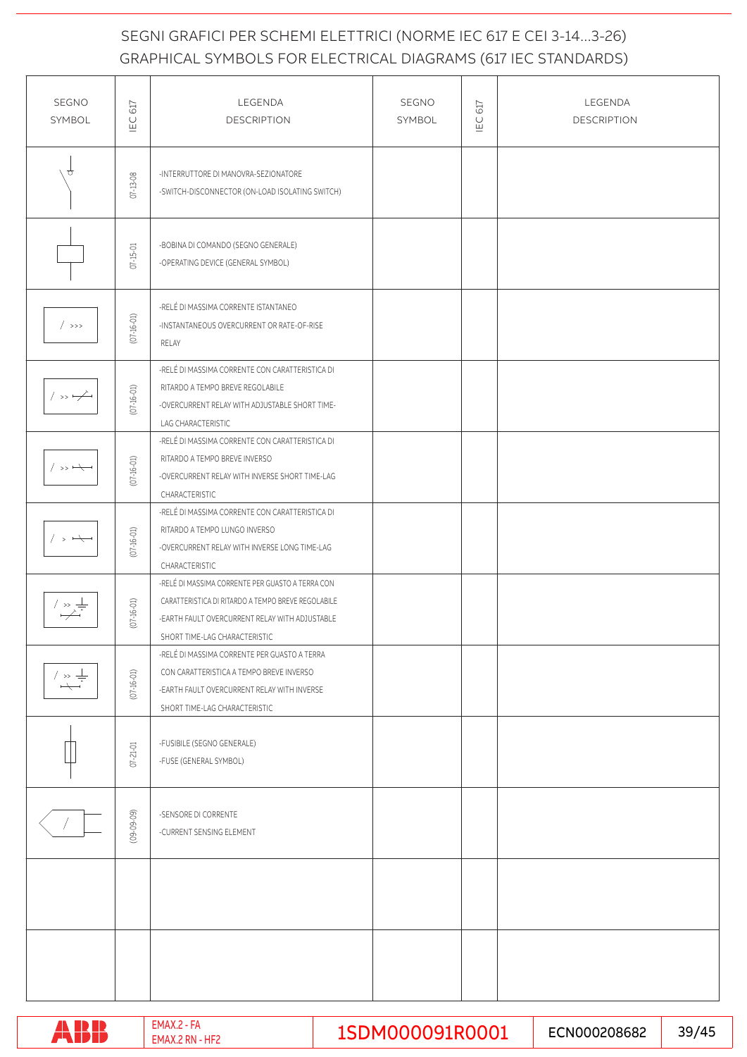## GRAPHICAL SYMBOLS FOR ELECTRICAL DIAGRAMS (617 IEC STANDARDS) SEGNI GRAFICI PER SCHEMI ELETTRICI (NORME IEC 617 E CEI 3-14...3-26)

| SEGNO<br>SYMBOL                                    | IEC 617          | LEGENDA<br><b>DESCRIPTION</b>                                                                                                                                                             | SEGNO<br>SYMBOL | IEC <sub>617</sub> | LEGENDA<br><b>DESCRIPTION</b> |
|----------------------------------------------------|------------------|-------------------------------------------------------------------------------------------------------------------------------------------------------------------------------------------|-----------------|--------------------|-------------------------------|
| €                                                  | $07-13-08$       | -INTERRUTTORE DI MANOVRA-SEZIONATORE<br>-SWITCH-DISCONNECTOR (ON-LOAD ISOLATING SWITCH)                                                                                                   |                 |                    |                               |
|                                                    | $07 - 15 - 01$   | -BOBINA DI COMANDO (SEGNO GENERALE)<br>-OPERATING DEVICE (GENERAL SYMBOL)                                                                                                                 |                 |                    |                               |
| $/$ >>>                                            | $(07 - 16 - 01)$ | -RELÉ DI MASSIMA CORRENTE ISTANTANEO<br>-INSTANTANEOUS OVERCURRENT OR RATE-OF-RISE<br>RELAY                                                                                               |                 |                    |                               |
| $/ \rightarrow$ $\rightarrow$                      | $(07 - 16 - 01)$ | -RELÉ DI MASSIMA CORRENTE CON CARATTERISTICA DI<br>RITARDO A TEMPO BREVE REGOLABILE<br>-OVERCURRENT RELAY WITH ADJUSTABLE SHORT TIME-<br>LAG CHARACTERISTIC                               |                 |                    |                               |
| $/ \rightarrow$ $\rightarrow$                      | $(07 - 16 - 01)$ | -RELÉ DI MASSIMA CORRENTE CON CARATTERISTICA DI<br>RITARDO A TEMPO BREVE INVERSO<br>-OVERCURRENT RELAY WITH INVERSE SHORT TIME-LAG<br>CHARACTERISTIC                                      |                 |                    |                               |
| $/$ > $\leftarrow$                                 | $(07 - 16 - 01)$ | -RELÉ DI MASSIMA CORRENTE CON CARATTERISTICA DI<br>RITARDO A TEMPO LUNGO INVERSO<br>-OVERCURRENT RELAY WITH INVERSE LONG TIME-LAG<br>CHARACTERISTIC                                       |                 |                    |                               |
| $\rightarrow \frac{1}{\cdot}$                      | $(07 - 16 - 01)$ | -RELÉ DI MASSIMA CORRENTE PER GUASTO A TERRA CON<br>CARATTERISTICA DI RITARDO A TEMPO BREVE REGOLABILE<br>-EARTH FAULT OVERCURRENT RELAY WITH ADJUSTABLE<br>SHORT TIME-LAG CHARACTERISTIC |                 |                    |                               |
| / $\rightarrow \doteq$<br>$\overline{\phantom{m}}$ | $(07 - 16 - 01)$ | -RELÉ DI MASSIMA CORRENTE PER GUASTO A TERRA<br>CON CARATTERISTICA A TEMPO BREVE INVERSO<br>-EARTH FAULT OVERCURRENT RELAY WITH INVERSE<br>SHORT TIME-LAG CHARACTERISTIC                  |                 |                    |                               |
|                                                    | 07-21-01         | -FUSIBILE (SEGNO GENERALE)<br>-FUSE (GENERAL SYMBOL)                                                                                                                                      |                 |                    |                               |
|                                                    | $(09 - 09 - 09)$ | -SENSORE DI CORRENTE<br>-CURRENT SENSING ELEMENT                                                                                                                                          |                 |                    |                               |
|                                                    |                  |                                                                                                                                                                                           |                 |                    |                               |
|                                                    |                  |                                                                                                                                                                                           |                 |                    |                               |

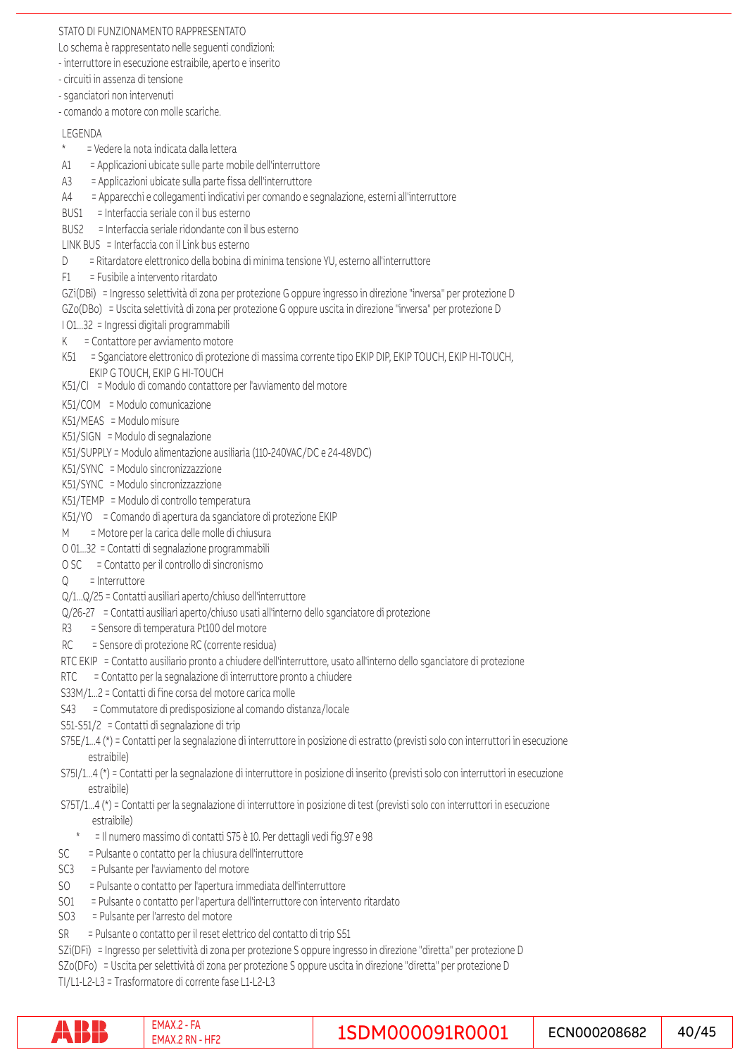#### STATO DI FUNZIONAMENTO RAPPRESENTATO

Lo schema è rappresentato nelle seguenti condizioni:

- interruttore in esecuzione estraibile, aperto e inserito

- circuiti in assenza di tensione
- sganciatori non intervenuti
- comando a motore con molle scariche.

#### LEGENDA

- \* = Vedere la nota indicata dalla lettera
- A1 = Applicazioni ubicate sulle parte mobile dell'interruttore
- A3 = Applicazioni ubicate sulla parte fissa dell'interruttore
- A4 = Apparecchi e collegamenti indicativi per comando e segnalazione, esterni all'interruttore
- BUS1 = Interfaccia seriale con il bus esterno
- BUS2 = Interfaccia seriale ridondante con il bus esterno
- LINK BUS = Interfaccia con il Link bus esterno
- D = Ritardatore elettronico della bobina di minima tensione YU, esterno all'interruttore
- F1 = Fusibile a intervento ritardato
- GZi(DBi) = Ingresso selettività di zona per protezione G oppure ingresso in direzione "inversa" per protezione D
- GZo(DBo) = Uscita selettività di zona per protezione G oppure uscita in direzione "inversa" per protezione D
- I O1...32 = Ingressi digitali programmabili
- K = Contattore per avviamento motore
- K51 = Sganciatore elettronico di protezione di massima corrente tipo EKIP DIP, EKIP TOUCH, EKIP HI-TOUCH,
- EKIP G TOUCH, EKIP G HI-TOUCH
- K51/CI = Modulo di comando contattore per l'avviamento del motore
- K51/COM = Modulo comunicazione
- K51/MEAS = Modulo misure
- K51/SIGN = Modulo di segnalazione
- K51/SUPPLY = Modulo alimentazione ausiliaria (110-240VAC/DC e 24-48VDC)
- K51/SYNC = Modulo sincronizzazzione
- K51/SYNC = Modulo sincronizzazzione
- K51/TEMP = Modulo di controllo temperatura
- K51/YO = Comando di apertura da sganciatore di protezione EKIP
- M = Motore per la carica delle molle di chiusura
- O 01...32 = Contatti di segnalazione programmabili
- O SC = Contatto per il controllo di sincronismo
- $Q =$  Interruttore
- Q/1...Q/25 = Contatti ausiliari aperto/chiuso dell'interruttore
- Q/26-27 = Contatti ausiliari aperto/chiuso usati all'interno dello sganciatore di protezione
- R3 = Sensore di temperatura Pt100 del motore
- RC = Sensore di protezione RC (corrente residua)
- RTC EKIP = Contatto ausiliario pronto a chiudere dell'interruttore, usato all'interno dello sganciatore di protezione
- RTC = Contatto per la segnalazione di interruttore pronto a chiudere
- S33M/1...2 = Contatti di fine corsa del motore carica molle
- S43 = Commutatore di predisposizione al comando distanza/locale
- S51-S51/2 = Contatti di segnalazione di trip
- S75E/1...4 (\*) = Contatti per la segnalazione di interruttore in posizione di estratto (previsti solo con interruttori in esecuzione estraibile)
- S75I/1...4 (\*) = Contatti per la segnalazione di interruttore in posizione di inserito (previsti solo con interruttori in esecuzione estraibile)
- S75T/1...4 (\*) = Contatti per la segnalazione di interruttore in posizione di test (previsti solo con interruttori in esecuzione estraibile)
	- \* = Il numero massimo di contatti S75 è 10. Per dettagli vedi fig.97 e 98
- SC = Pulsante o contatto per la chiusura dell'interruttore
- SC3 = Pulsante per l'avviamento del motore
- SO = Pulsante o contatto per l'apertura immediata dell'interruttore
- SO1 = Pulsante o contatto per l'apertura dell'interruttore con intervento ritardato
- SO3 = Pulsante per l'arresto del motore
- SR = Pulsante o contatto per il reset elettrico del contatto di trip S51

SZi(DFi) = Ingresso per selettività di zona per protezione S oppure ingresso in direzione "diretta" per protezione D SZo(DFo) = Uscita per selettività di zona per protezione S oppure uscita in direzione "diretta" per protezione D TI/L1-L2-L3 = Trasformatore di corrente fase L1-L2-L3

|  | $-MA0$<br>HF,<br>∙ IVI A |  | N000208682<br>-- | 145<br>4 |
|--|--------------------------|--|------------------|----------|
|--|--------------------------|--|------------------|----------|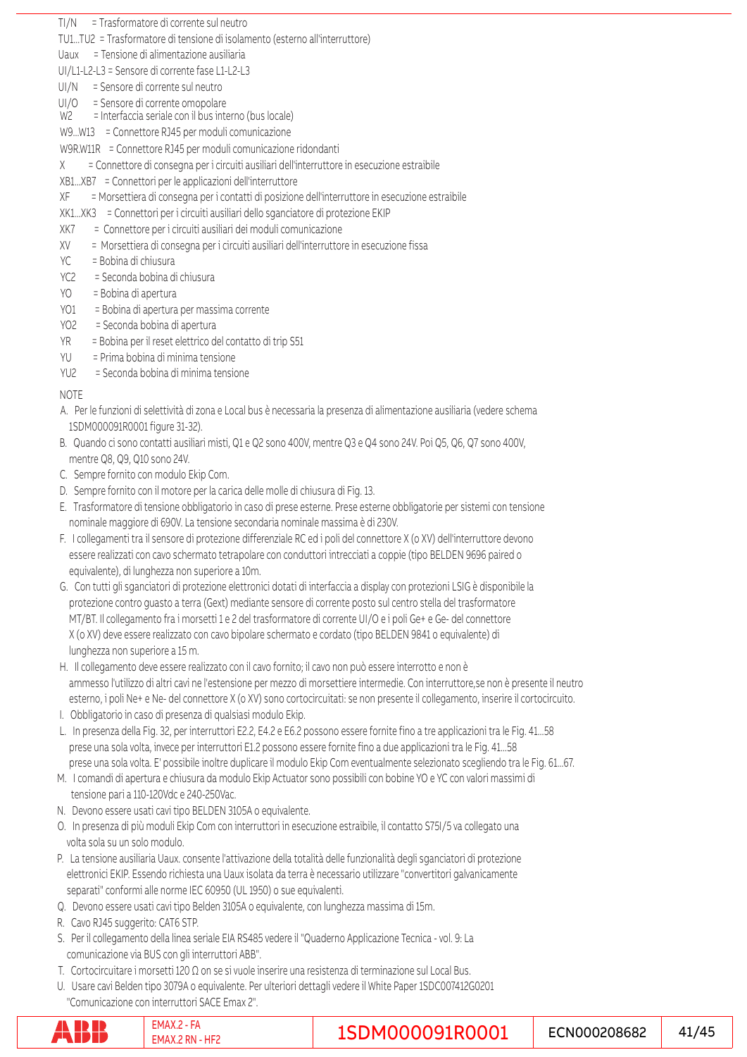TI/N = Trasformatore di corrente sul neutro

TU1...TU2 = Trasformatore di tensione di isolamento (esterno all'interruttore)

Uaux = Tensione di alimentazione ausiliaria

UI/L1-L2-L3 = Sensore di corrente fase L1-L2-L3

- UI/N = Sensore di corrente sul neutro
- UI/O = Sensore di corrente omopolare
- W2 = Interfaccia seriale con il bus interno (bus locale)
- W9...W13 = Connettore RJ45 per moduli comunicazione
- W9R.W11R = Connettore RJ45 per moduli comunicazione ridondanti
- X = Connettore di consegna per i circuiti ausiliari dell'interruttore in esecuzione estraibile
- XB1...XB7 = Connettori per le applicazioni dell'interruttore
- XF = Morsettiera di consegna per i contatti di posizione dell'interruttore in esecuzione estraibile
- XK1...XK3 = Connettori per i circuiti ausiliari dello sganciatore di protezione EKIP
- XK7 = Connettore per i circuiti ausiliari dei moduli comunicazione
- XV = Morsettiera di consegna per i circuiti ausiliari dell'interruttore in esecuzione fissa
- YC = Bobina di chiusura
- YC2 = Seconda bobina di chiusura
- YO = Bobina di apertura
- YO1 = Bobina di apertura per massima corrente
- YO2 = Seconda bobina di apertura
- YR = Bobina per il reset elettrico del contatto di trip S51
- YU = Prima bobina di minima tensione
- YU2 = Seconda bobina di minima tensione

#### NOTE

- A. Per le funzioni di selettività di zona e Local bus è necessaria la presenza di alimentazione ausiliaria (vedere schema 1SDM000091R0001 figure 31-32).
- B. Quando ci sono contatti ausiliari misti, Q1 e Q2 sono 400V, mentre Q3 e Q4 sono 24V. Poi Q5, Q6, Q7 sono 400V, mentre Q8, Q9, Q10 sono 24V.
- C. Sempre fornito con modulo Ekip Com.
- D. Sempre fornito con il motore per la carica delle molle di chiusura di Fig. 13.
- E. Trasformatore di tensione obbligatorio in caso di prese esterne. Prese esterne obbligatorie per sistemi con tensione nominale maggiore di 690V. La tensione secondaria nominale massima è di 230V.
- F. I collegamenti tra il sensore di protezione differenziale RC ed i poli del connettore X (o XV) dell'interruttore devono essere realizzati con cavo schermato tetrapolare con conduttori intrecciati a coppie (tipo BELDEN 9696 paired o equivalente), di lunghezza non superiore a 10m.
- G. Con tutti gli sganciatori di protezione elettronici dotati di interfaccia a display con protezioni LSIG è disponibile la protezione contro guasto a terra (Gext) mediante sensore di corrente posto sul centro stella del trasformatore MT/BT. Il collegamento fra i morsetti 1 e 2 del trasformatore di corrente UI/O e i poli Ge+ e Ge- del connettore X (o XV) deve essere realizzato con cavo bipolare schermato e cordato (tipo BELDEN 9841 o equivalente) di lunghezza non superiore a 15 m.
- H. Il collegamento deve essere realizzato con il cavo fornito; il cavo non può essere interrotto e non è ammesso l'utilizzo di altri cavi ne l'estensione per mezzo di morsettiere intermedie. Con interruttore,se non è presente il neutro esterno, i poli Ne+ e Ne- del connettore X (o XV) sono cortocircuitati: se non presente il collegamento, inserire il cortocircuito.
- I. Obbligatorio in caso di presenza di qualsiasi modulo Ekip.
- L. In presenza della Fig. 32, per interruttori E2.2, E4.2 e E6.2 possono essere fornite fino a tre applicazioni tra le Fig. 41...58 prese una sola volta, invece per interruttori E1.2 possono essere fornite fino a due applicazioni tra le Fig. 41...58 prese una sola volta. E' possibile inoltre duplicare il modulo Ekip Com eventualmente selezionato scegliendo tra le Fig. 61...67.
- M. I comandi di apertura e chiusura da modulo Ekip Actuator sono possibili con bobine YO e YC con valori massimi di tensione pari a 110-120Vdc e 240-250Vac.
- N. Devono essere usati cavi tipo BELDEN 3105A o equivalente.
- O. In presenza di più moduli Ekip Com con interruttori in esecuzione estraibile, il contatto S75I/5 va collegato una volta sola su un solo modulo.
- P. La tensione ausiliaria Uaux. consente l'attivazione della totalità delle funzionalità degli sganciatori di protezione elettronici EKIP. Essendo richiesta una Uaux isolata da terra è necessario utilizzare "convertitori galvanicamente separati" conformi alle norme IEC 60950 (UL 1950) o sue equivalenti.
- Q. Devono essere usati cavi tipo Belden 3105A o equivalente, con lunghezza massima di 15m.
- R. Cavo RJ45 suggerito: CAT6 STP.
- S. Per il collegamento della linea seriale EIA RS485 vedere il "Quaderno Applicazione Tecnica vol. 9: La comunicazione via BUS con gli interruttori ABB".
- T. Cortocircuitare i morsetti 120 Ω on se si vuole inserire una resistenza di terminazione sul Local Bus.
- U. Usare cavi Belden tipo 3079A o equivalente. Per ulteriori dettagli vedere il White Paper 1SDC007412G0201 "Comunicazione con interruttori SACE Emax 2".

|  | UE1 | <b>0091R0001</b><br> | ECN000208682 | ת/<br>┱┙ |
|--|-----|----------------------|--------------|----------|
|--|-----|----------------------|--------------|----------|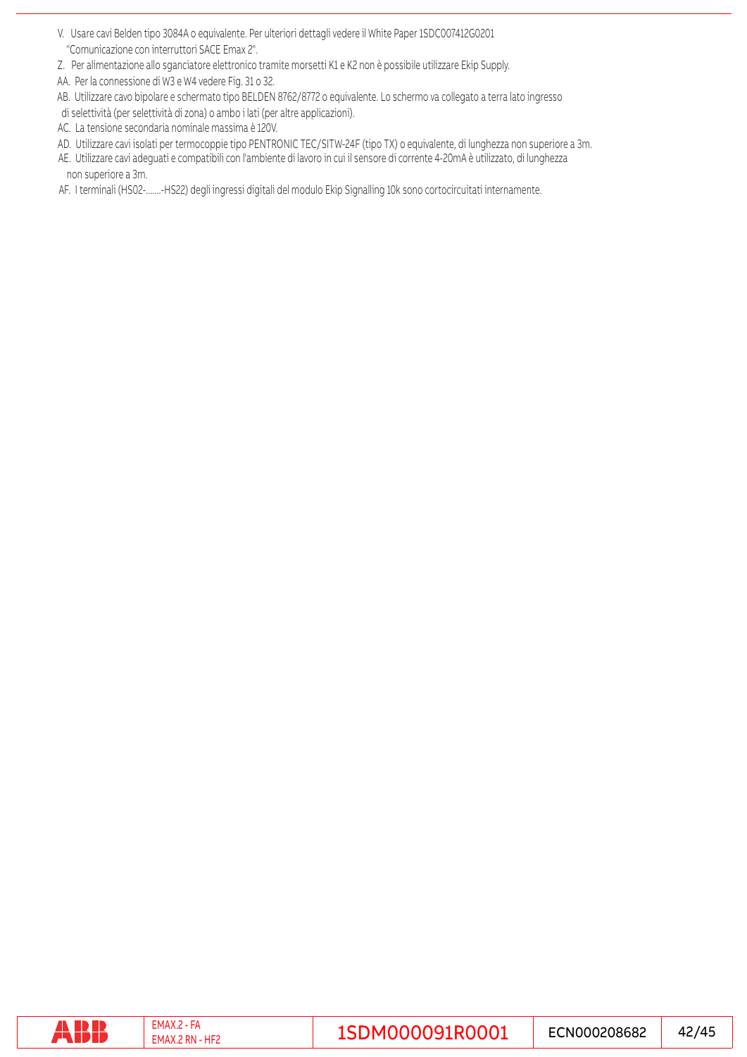- V. Usare cavi Belden tipo 3084A o equivalente. Per ulteriori dettagli vedere il White Paper 1SDC007412G0201 "Comunicazione con interruttori SACE Emax 2".
- Z. Per alimentazione allo sganciatore elettronico tramite morsetti K1 e K2 non è possibile utilizzare Ekip Supply.
- AA. Per la connessione di W3 e W4 vedere Fig. 31 o 32.
- AB. Utilizzare cavo bipolare e schermato tipo BELDEN 8762/8772 o equivalente. Lo schermo va collegato a terra lato ingresso
- di selettività (per selettività di zona) o ambo i lati (per altre applicazioni).
- AC. La tensione secondaria nominale massima è 120V.
- AD. Utilizzare cavi isolati per termocoppie tipo PENTRONIC TEC/SITW-24F (tipo TX) o equivalente, di lunghezza non superiore a 3m.
- AE. Utilizzare cavi adeguati e compatibili con l'ambiente di lavoro in cui il sensore di corrente 4-20mA è utilizzato, di lunghezza non superiore a 3m.
- AF. I terminali (HS02-.......-HS22) degli ingressi digitali del modulo Ekip Signalling 10k sono cortocircuitati internamente.

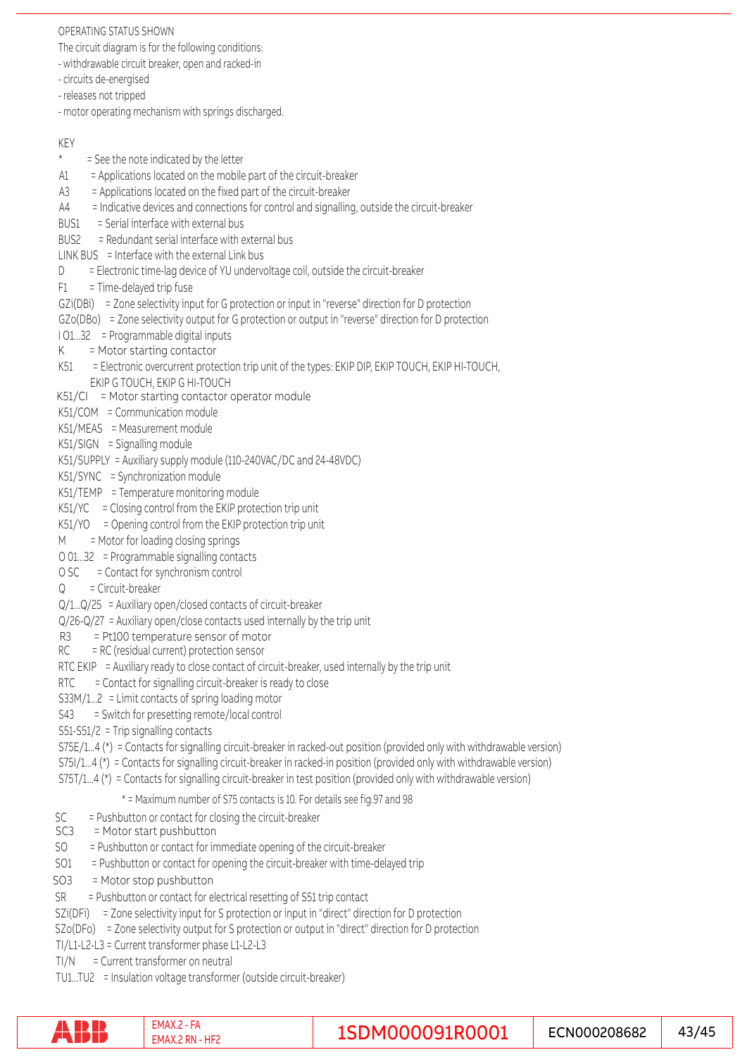#### OPERATING STATUS SHOWN

The circuit diagram is for the following conditions:

- withdrawable circuit breaker, open and racked-in
- circuits de-energised
- releases not tripped
- motor operating mechanism with springs discharged.

#### KEY

- \* = See the note indicated by the letter
- A1 = Applications located on the mobile part of the circuit-breaker
- A3 = Applications located on the fixed part of the circuit-breaker
- A4 = Indicative devices and connections for control and signalling, outside the circuit-breaker
- BUS1 = Serial interface with external bus
- BUS2 = Redundant serial interface with external bus
- LINK BUS = Interface with the external Link bus
- $D =$  Electronic time-lag device of YU undervoltage coil, outside the circuit-breaker
- F1 = Time-delayed trip fuse
- GZi(DBi) = Zone selectivity input for G protection or input in "reverse" direction for D protection
- GZo(DBo) = Zone selectivity output for G protection or output in "reverse" direction for D protection
- I O1...32 = Programmable digital inputs
- $K =$ Motor starting contactor
- K51 = Electronic overcurrent protection trip unit of the types: EKIP DIP, EKIP TOUCH, EKIP HI-TOUCH, EKIP G TOUCH, EKIP G HI-TOUCH
- K51/CI = Motor starting contactor operator module
- K51/COM = Communication module
- K51/MEAS = Measurement module
- K51/SIGN = Signalling module
- K51/SUPPLY = Auxiliary supply module (110-240VAC/DC and 24-48VDC)
- K51/SYNC = Synchronization module
- K51/TEMP = Temperature monitoring module
- K51/YC = Closing control from the EKIP protection trip unit
- $K51/YO =$  Opening control from the EKIP protection trip unit
- M = Motor for loading closing springs
- O 01...32 = Programmable signalling contacts
- O SC = Contact for synchronism control
- $Q =$  Circuit-breaker
- Q/1...Q/25 = Auxiliary open/closed contacts of circuit-breaker
- Q/26-Q/27 = Auxiliary open/close contacts used internally by the trip unit
- R3 = Pt100 temperature sensor of motor
- $RC = RC$  (residual current) protection sensor
- RTC EKIP  $=$  Auxiliary ready to close contact of circuit-breaker, used internally by the trip unit
- $RTC =$  = Contact for signalling circuit-breaker is ready to close
- S33M/1...2 = Limit contacts of spring loading motor
- S43 = Switch for presetting remote/local control
- S51-S51/2 = Trip signalling contacts
- S75E/1...4 (\*) = Contacts for signalling circuit-breaker in racked-out position (provided only with withdrawable version)
- S75I/1...4 (\*) = Contacts for signalling circuit-breaker in racked-in position (provided only with withdrawable version)
- S75T/1...4 (\*) = Contacts for signalling circuit-breaker in test position (provided only with withdrawable version)
	- \* = Maximum number of S75 contacts is 10. For details see fig.97 and 98
- SC = Pushbutton or contact for closing the circuit-breaker<br>SC3 = Motor start pushbutton
- = Motor start pushbutton
- SO = Pushbutton or contact for immediate opening of the circuit-breaker
- SO1 = Pushbutton or contact for opening the circuit-breaker with time-delayed trip
- SO3 = Motor stop pushbutton
- SR = Pushbutton or contact for electrical resetting of S51 trip contact
- SZi(DFi) = Zone selectivity input for S protection or input in "direct" direction for D protection
- SZo(DFo) = Zone selectivity output for S protection or output in "direct" direction for D protection
- TI/L1-L2-L3 = Current transformer phase L1-L2-L3
- TI/N = Current transformer on neutral
- TU1...TU2 = Insulation voltage transformer (outside circuit-breaker)

|  | . IVI.<br>w | - - | con<br>ບ868∠<br>NH |  |
|--|-------------|-----|--------------------|--|
|--|-------------|-----|--------------------|--|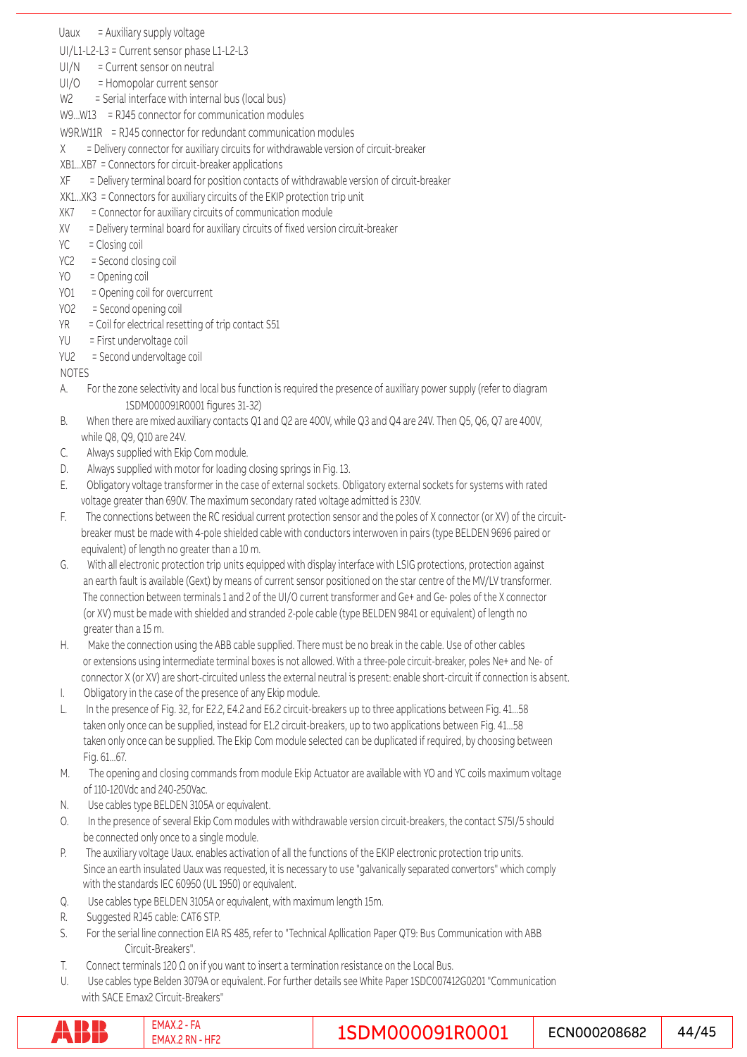Uaux = Auxiliary supply voltage

UI/L1-L2-L3 = Current sensor phase L1-L2-L3

- $UI/N = Current sensor on neutral$
- UI/O = Homopolar current sensor

W<sub>2</sub> = Serial interface with internal bus (local bus)

W9...W13 = RJ45 connector for communication modules

- W9R.W11R = RJ45 connector for redundant communication modules
- $X =$  Delivery connector for auxiliary circuits for withdrawable version of circuit-breaker
- XB1...XB7 = Connectors for circuit-breaker applications
- XF = Delivery terminal board for position contacts of withdrawable version of circuit-breaker
- XK1...XK3 = Connectors for auxiliary circuits of the EKIP protection trip unit
- XK7 = Connector for auxiliary circuits of communication module
- XV = Delivery terminal board for auxiliary circuits of fixed version circuit-breaker
- YC = Closing coil
- YC2 = Second closing coil
- YO = Opening coil
- YO1 = Opening coil for overcurrent
- YO2 = Second opening coil
- YR = Coil for electrical resetting of trip contact S51
- YU = First undervoltage coil
- YU2 = Second undervoltage coil

#### NOTES

- A. For the zone selectivity and local bus function is required the presence of auxiliary power supply (refer to diagram 1SDM000091R0001 figures 31-32)
- B. When there are mixed auxiliary contacts Q1 and Q2 are 400V, while Q3 and Q4 are 24V. Then Q5, Q6, Q7 are 400V, while Q8, Q9, Q10 are 24V.
- C. Always supplied with Ekip Com module.
- D. Always supplied with motor for loading closing springs in Fig. 13.
- E. Obligatory voltage transformer in the case of external sockets. Obligatory external sockets for systems with rated voltage greater than 690V. The maximum secondary rated voltage admitted is 230V.
- F. The connections between the RC residual current protection sensor and the poles of X connector (or XV) of the circuit breaker must be made with 4-pole shielded cable with conductors interwoven in pairs (type BELDEN 9696 paired or equivalent) of length no greater than a 10 m.
- G. With all electronic protection trip units equipped with display interface with LSIG protections, protection against an earth fault is available (Gext) by means of current sensor positioned on the star centre of the MV/LV transformer. The connection between terminals 1 and 2 of the UI/O current transformer and Ge+ and Ge- poles of the X connector (or XV) must be made with shielded and stranded 2-pole cable (type BELDEN 9841 or equivalent) of length no greater than a 15 m.
- H. Make the connection using the ABB cable supplied. There must be no break in the cable. Use of other cables or extensions using intermediate terminal boxes is not allowed. With a three-pole circuit-breaker, poles Ne+ and Ne- of connector X (or XV) are short-circuited unless the external neutral is present: enable short-circuit if connection is absent.
- I. Obligatory in the case of the presence of any Ekip module.
- L. In the presence of Fig. 32, for E2.2, E4.2 and E6.2 circuit-breakers up to three applications between Fig. 41...58 taken only once can be supplied, instead for E1.2 circuit-breakers, up to two applications between Fig. 41...58 taken only once can be supplied. The Ekip Com module selected can be duplicated if required, by choosing between Fig. 61...67.
- M. The opening and closing commands from module Ekip Actuator are available with YO and YC coils maximum voltage of 110-120Vdc and 240-250Vac.
- N. Use cables type BELDEN 3105A or equivalent.
- O. In the presence of several Ekip Com modules with withdrawable version circuit-breakers, the contact S75I/5 should be connected only once to a single module.
- Since an earth insulated Uaux was requested, it is necessary to use "galvanically separated convertors" which comply with the standards IEC 60950 (UL 1950) or equivalent. P. The auxiliary voltage Uaux. enables activation of all the functions of the EKIP electronic protection trip units.
- Q. Use cables type BELDEN 3105A or equivalent, with maximum length 15m.
- R. Suggested RJ45 cable: CAT6 STP.
- S. For the serial line connection EIA RS 485, refer to "Technical Apllication Paper QT9: Bus Communication with ABB Circuit-Breakers".
- T. Connect terminals 120 Ω on if you want to insert a termination resistance on the Local Bus.
- U. Use cables type Belden 3079A or equivalent. For further details see White Paper 1SDC007412G0201 "Communication with SACE Emax2 Circuit-Breakers"